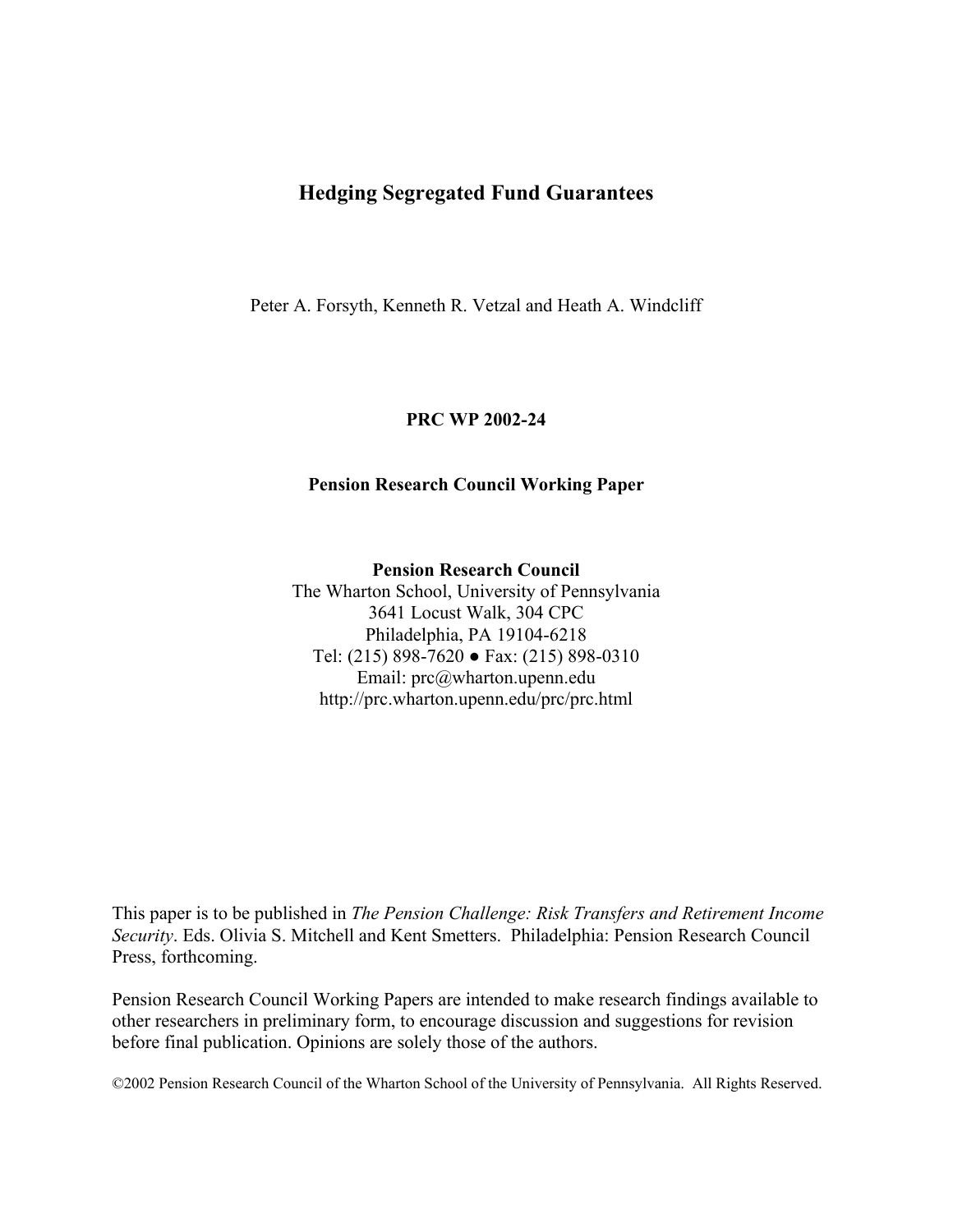# **Hedging Segregated Fund Guarantees**

Peter A. Forsyth, Kenneth R. Vetzal and Heath A. Windcliff

**PRC WP 2002-24** 

#### **Pension Research Council Working Paper**

**Pension Research Council**  The Wharton School, University of Pennsylvania 3641 Locust Walk, 304 CPC Philadelphia, PA 19104-6218 Tel: (215) 898-7620 ● Fax: (215) 898-0310 Email: prc@wharton.upenn.edu http://prc.wharton.upenn.edu/prc/prc.html

This paper is to be published in *The Pension Challenge: Risk Transfers and Retirement Income Security*. Eds. Olivia S. Mitchell and Kent Smetters.Philadelphia: Pension Research Council Press, forthcoming.

Pension Research Council Working Papers are intended to make research findings available to other researchers in preliminary form, to encourage discussion and suggestions for revision before final publication. Opinions are solely those of the authors.

©2002 Pension Research Council of the Wharton School of the University of Pennsylvania. All Rights Reserved.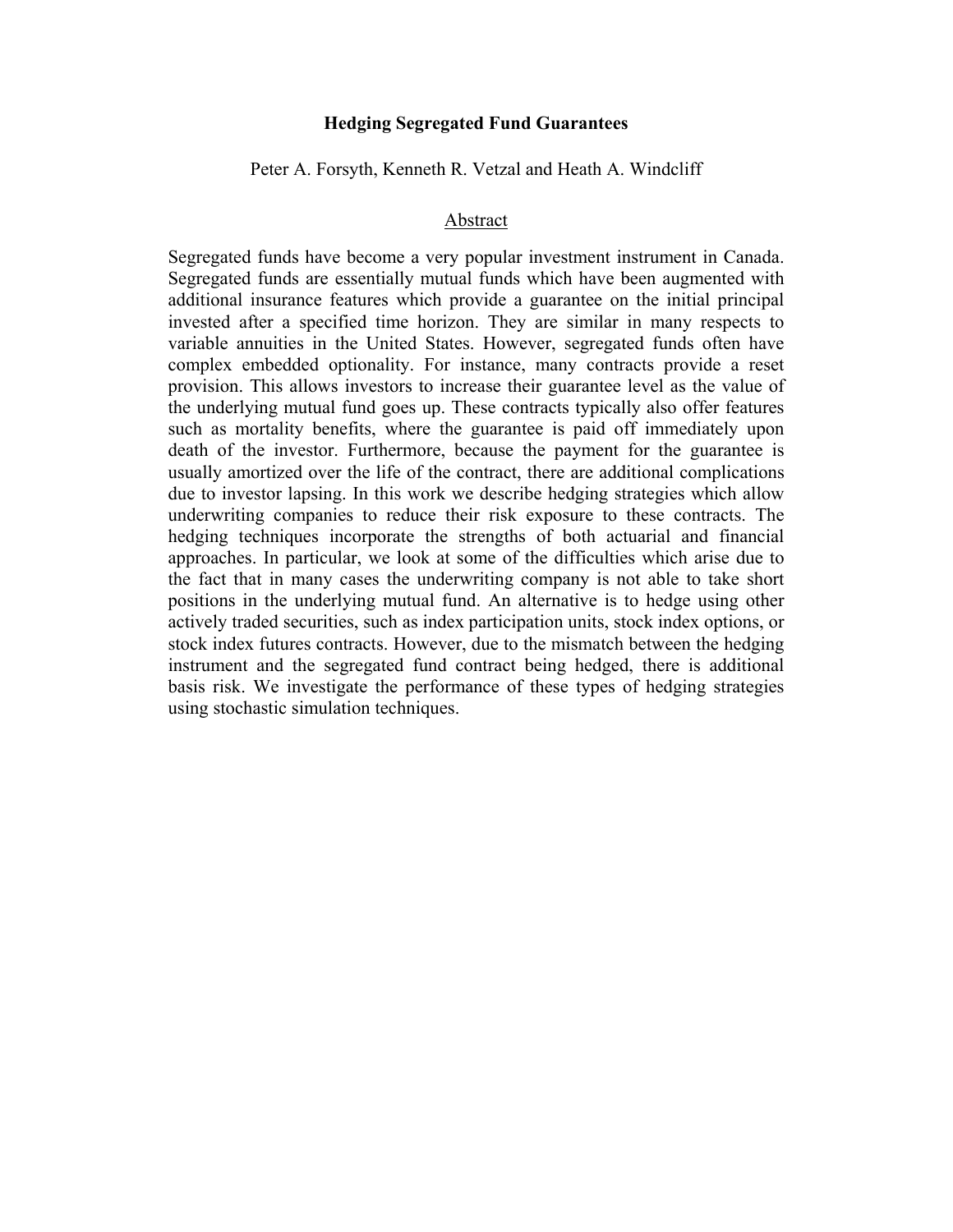#### **Hedging Segregated Fund Guarantees**

Peter A. Forsyth, Kenneth R. Vetzal and Heath A. Windcliff

#### Abstract

Segregated funds have become a very popular investment instrument in Canada. Segregated funds are essentially mutual funds which have been augmented with additional insurance features which provide a guarantee on the initial principal invested after a specified time horizon. They are similar in many respects to variable annuities in the United States. However, segregated funds often have complex embedded optionality. For instance, many contracts provide a reset provision. This allows investors to increase their guarantee level as the value of the underlying mutual fund goes up. These contracts typically also offer features such as mortality benefits, where the guarantee is paid off immediately upon death of the investor. Furthermore, because the payment for the guarantee is usually amortized over the life of the contract, there are additional complications due to investor lapsing. In this work we describe hedging strategies which allow underwriting companies to reduce their risk exposure to these contracts. The hedging techniques incorporate the strengths of both actuarial and financial approaches. In particular, we look at some of the difficulties which arise due to the fact that in many cases the underwriting company is not able to take short positions in the underlying mutual fund. An alternative is to hedge using other actively traded securities, such as index participation units, stock index options, or stock index futures contracts. However, due to the mismatch between the hedging instrument and the segregated fund contract being hedged, there is additional basis risk. We investigate the performance of these types of hedging strategies using stochastic simulation techniques.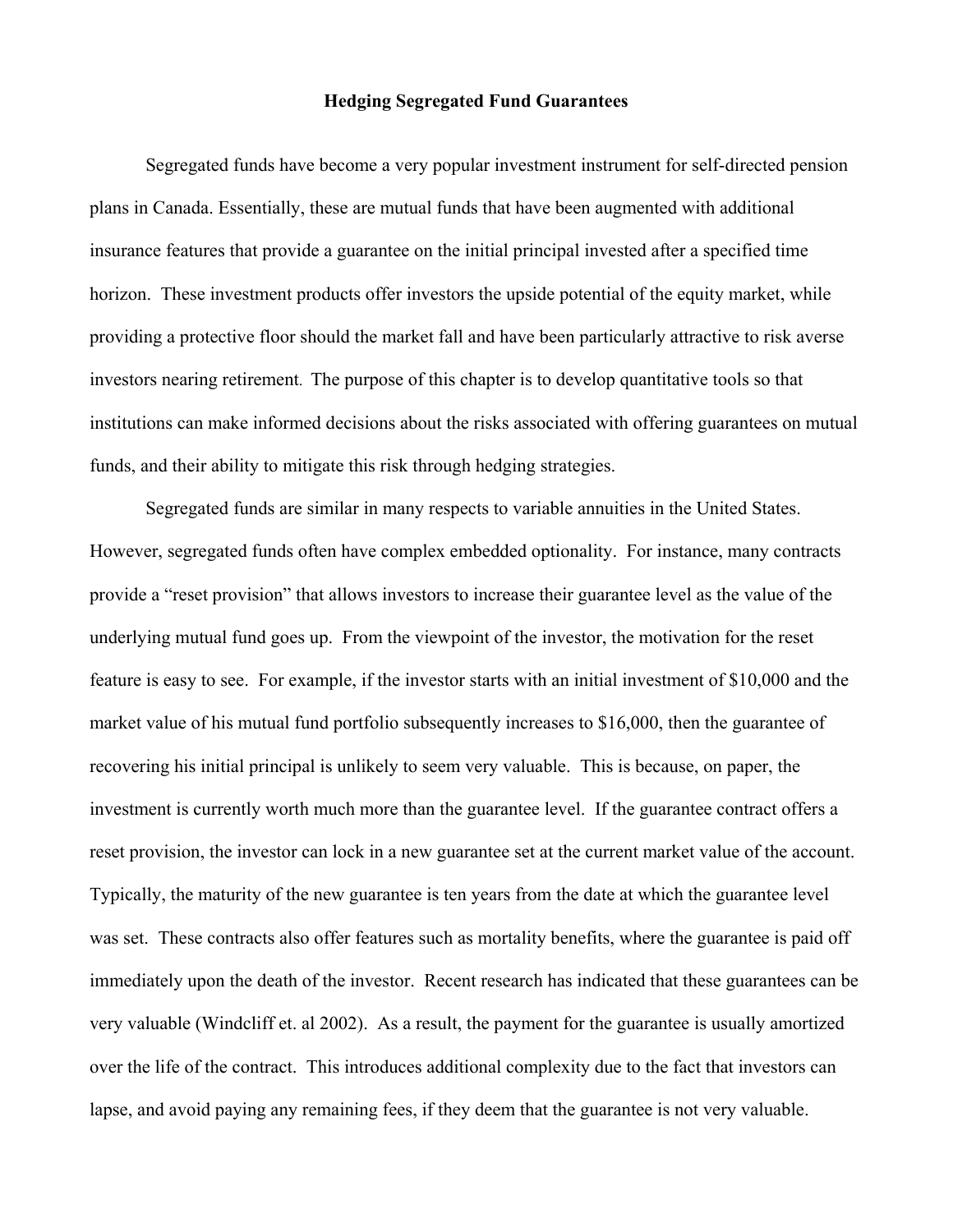#### **Hedging Segregated Fund Guarantees**

Segregated funds have become a very popular investment instrument for self-directed pension plans in Canada. Essentially, these are mutual funds that have been augmented with additional insurance features that provide a guarantee on the initial principal invested after a specified time horizon. These investment products offer investors the upside potential of the equity market, while providing a protective floor should the market fall and have been particularly attractive to risk averse investors nearing retirement. The purpose of this chapter is to develop quantitative tools so that institutions can make informed decisions about the risks associated with offering guarantees on mutual funds, and their ability to mitigate this risk through hedging strategies.

Segregated funds are similar in many respects to variable annuities in the United States. However, segregated funds often have complex embedded optionality. For instance, many contracts provide a "reset provision" that allows investors to increase their guarantee level as the value of the underlying mutual fund goes up. From the viewpoint of the investor, the motivation for the reset feature is easy to see. For example, if the investor starts with an initial investment of \$10,000 and the market value of his mutual fund portfolio subsequently increases to \$16,000, then the guarantee of recovering his initial principal is unlikely to seem very valuable. This is because, on paper, the investment is currently worth much more than the guarantee level. If the guarantee contract offers a reset provision, the investor can lock in a new guarantee set at the current market value of the account. Typically, the maturity of the new guarantee is ten years from the date at which the guarantee level was set. These contracts also offer features such as mortality benefits, where the guarantee is paid off immediately upon the death of the investor. Recent research has indicated that these guarantees can be very valuable (Windcliff et. al 2002). As a result, the payment for the guarantee is usually amortized over the life of the contract. This introduces additional complexity due to the fact that investors can lapse, and avoid paying any remaining fees, if they deem that the guarantee is not very valuable.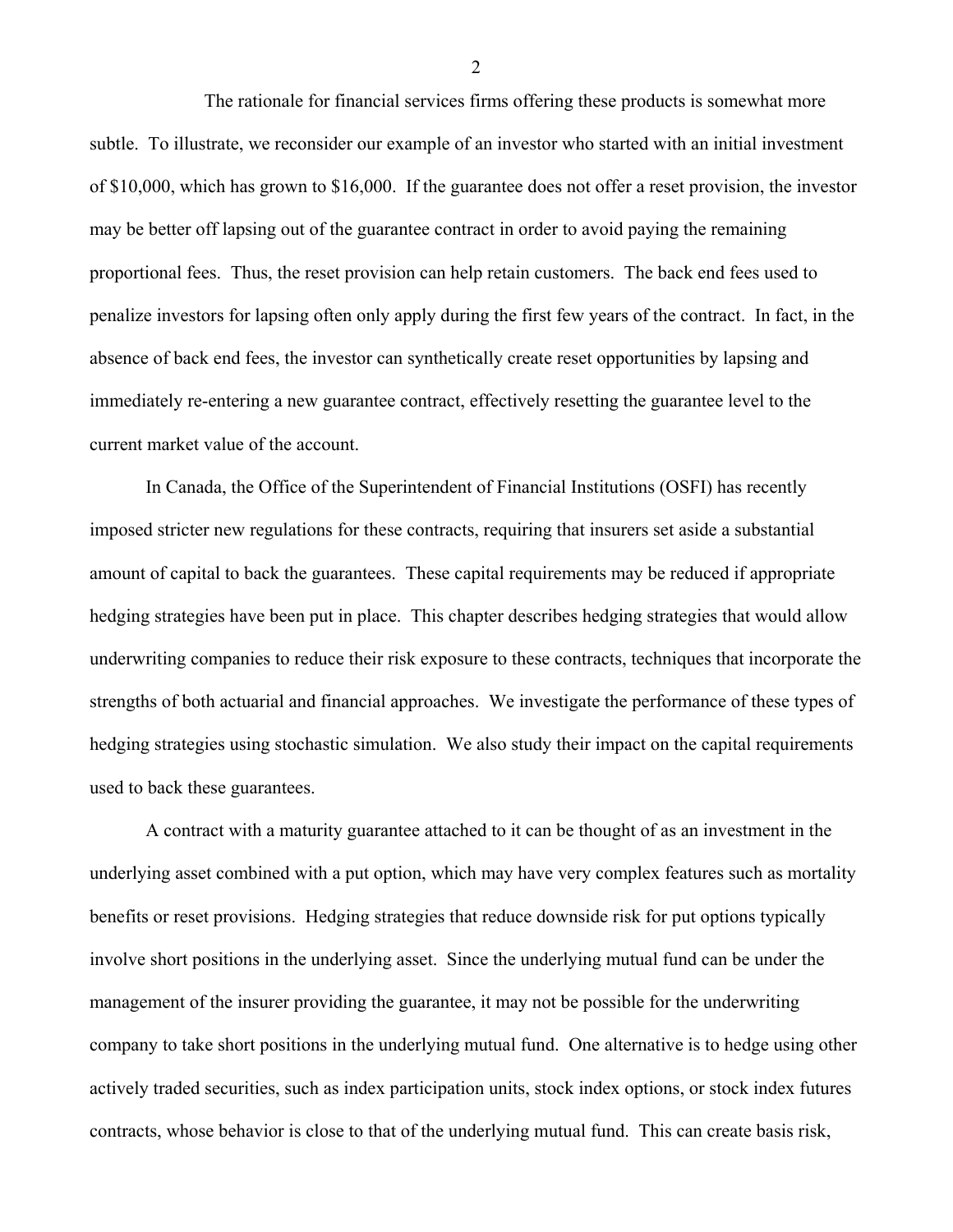The rationale for financial services firms offering these products is somewhat more subtle. To illustrate, we reconsider our example of an investor who started with an initial investment of \$10,000, which has grown to \$16,000. If the guarantee does not offer a reset provision, the investor may be better off lapsing out of the guarantee contract in order to avoid paying the remaining proportional fees. Thus, the reset provision can help retain customers. The back end fees used to penalize investors for lapsing often only apply during the first few years of the contract. In fact, in the absence of back end fees, the investor can synthetically create reset opportunities by lapsing and immediately re-entering a new guarantee contract, effectively resetting the guarantee level to the current market value of the account.

In Canada, the Office of the Superintendent of Financial Institutions (OSFI) has recently imposed stricter new regulations for these contracts, requiring that insurers set aside a substantial amount of capital to back the guarantees. These capital requirements may be reduced if appropriate hedging strategies have been put in place. This chapter describes hedging strategies that would allow underwriting companies to reduce their risk exposure to these contracts, techniques that incorporate the strengths of both actuarial and financial approaches. We investigate the performance of these types of hedging strategies using stochastic simulation. We also study their impact on the capital requirements used to back these guarantees.

A contract with a maturity guarantee attached to it can be thought of as an investment in the underlying asset combined with a put option, which may have very complex features such as mortality benefits or reset provisions. Hedging strategies that reduce downside risk for put options typically involve short positions in the underlying asset. Since the underlying mutual fund can be under the management of the insurer providing the guarantee, it may not be possible for the underwriting company to take short positions in the underlying mutual fund. One alternative is to hedge using other actively traded securities, such as index participation units, stock index options, or stock index futures contracts, whose behavior is close to that of the underlying mutual fund. This can create basis risk,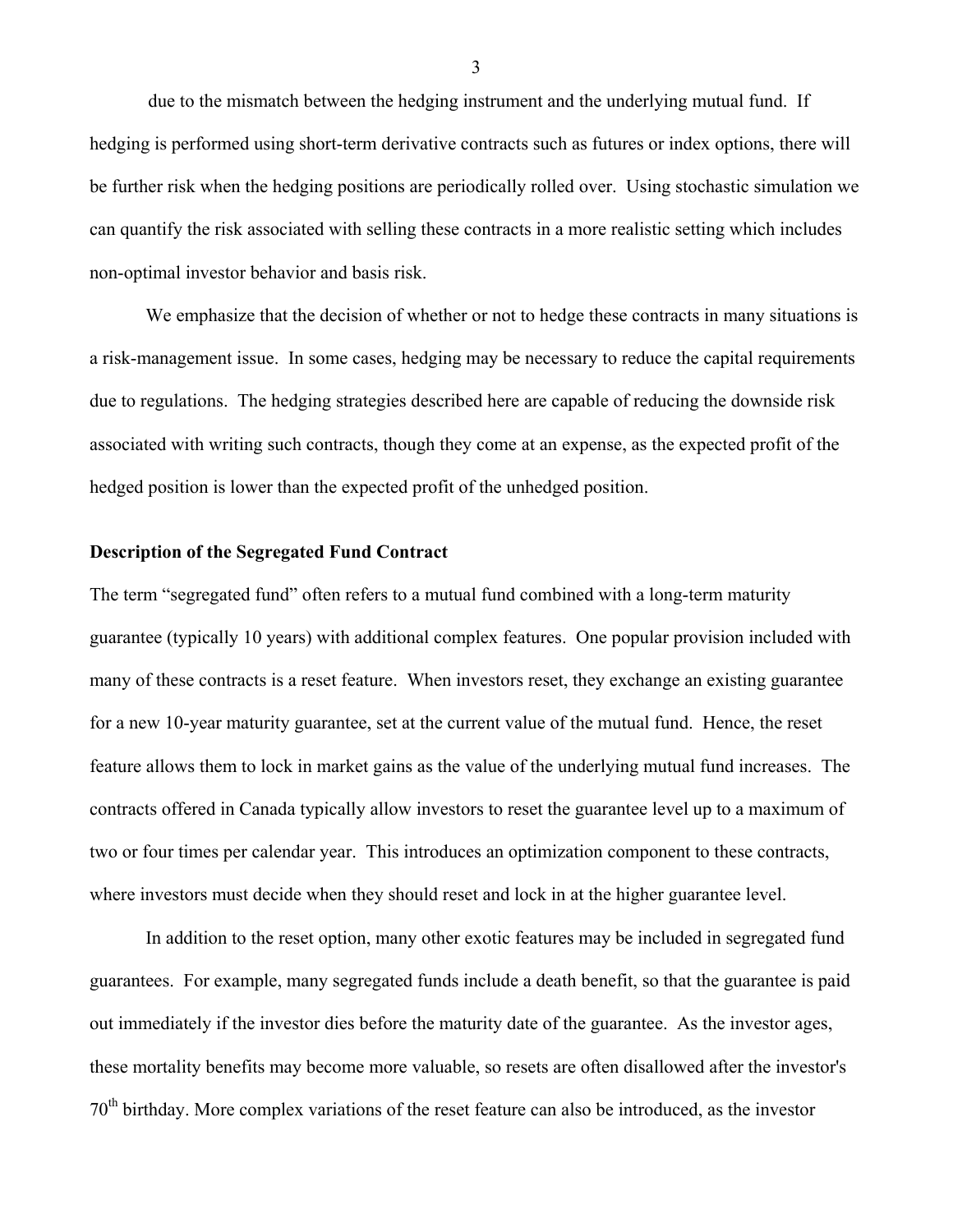due to the mismatch between the hedging instrument and the underlying mutual fund. If hedging is performed using short-term derivative contracts such as futures or index options, there will be further risk when the hedging positions are periodically rolled over. Using stochastic simulation we can quantify the risk associated with selling these contracts in a more realistic setting which includes non-optimal investor behavior and basis risk.

We emphasize that the decision of whether or not to hedge these contracts in many situations is a risk-management issue. In some cases, hedging may be necessary to reduce the capital requirements due to regulations. The hedging strategies described here are capable of reducing the downside risk associated with writing such contracts, though they come at an expense, as the expected profit of the hedged position is lower than the expected profit of the unhedged position.

#### **Description of the Segregated Fund Contract**

The term "segregated fund" often refers to a mutual fund combined with a long-term maturity guarantee (typically 10 years) with additional complex features. One popular provision included with many of these contracts is a reset feature. When investors reset, they exchange an existing guarantee for a new 10-year maturity guarantee, set at the current value of the mutual fund. Hence, the reset feature allows them to lock in market gains as the value of the underlying mutual fund increases. The contracts offered in Canada typically allow investors to reset the guarantee level up to a maximum of two or four times per calendar year. This introduces an optimization component to these contracts, where investors must decide when they should reset and lock in at the higher guarantee level.

In addition to the reset option, many other exotic features may be included in segregated fund guarantees. For example, many segregated funds include a death benefit, so that the guarantee is paid out immediately if the investor dies before the maturity date of the guarantee. As the investor ages, these mortality benefits may become more valuable, so resets are often disallowed after the investor's 70th birthday. More complex variations of the reset feature can also be introduced, as the investor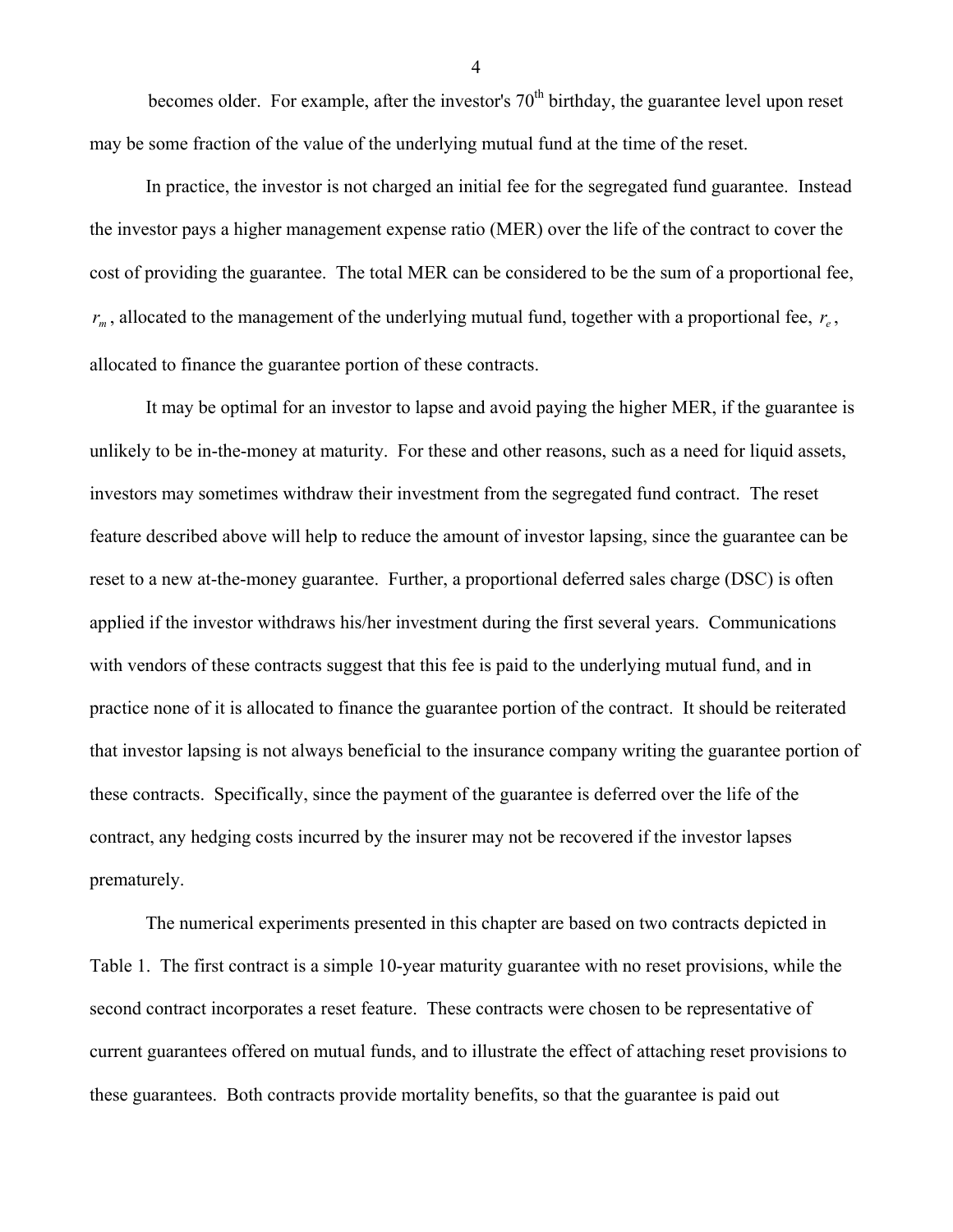becomes older. For example, after the investor's  $70<sup>th</sup>$  birthday, the guarantee level upon reset may be some fraction of the value of the underlying mutual fund at the time of the reset.

In practice, the investor is not charged an initial fee for the segregated fund guarantee. Instead the investor pays a higher management expense ratio (MER) over the life of the contract to cover the cost of providing the guarantee. The total MER can be considered to be the sum of a proportional fee,  $r_m$ , allocated to the management of the underlying mutual fund, together with a proportional fee,  $r_e$ , allocated to finance the guarantee portion of these contracts.

It may be optimal for an investor to lapse and avoid paying the higher MER, if the guarantee is unlikely to be in-the-money at maturity. For these and other reasons, such as a need for liquid assets, investors may sometimes withdraw their investment from the segregated fund contract. The reset feature described above will help to reduce the amount of investor lapsing, since the guarantee can be reset to a new at-the-money guarantee. Further, a proportional deferred sales charge (DSC) is often applied if the investor withdraws his/her investment during the first several years. Communications with vendors of these contracts suggest that this fee is paid to the underlying mutual fund, and in practice none of it is allocated to finance the guarantee portion of the contract. It should be reiterated that investor lapsing is not always beneficial to the insurance company writing the guarantee portion of these contracts. Specifically, since the payment of the guarantee is deferred over the life of the contract, any hedging costs incurred by the insurer may not be recovered if the investor lapses prematurely.

The numerical experiments presented in this chapter are based on two contracts depicted in Table 1. The first contract is a simple 10-year maturity guarantee with no reset provisions, while the second contract incorporates a reset feature. These contracts were chosen to be representative of current guarantees offered on mutual funds, and to illustrate the effect of attaching reset provisions to these guarantees. Both contracts provide mortality benefits, so that the guarantee is paid out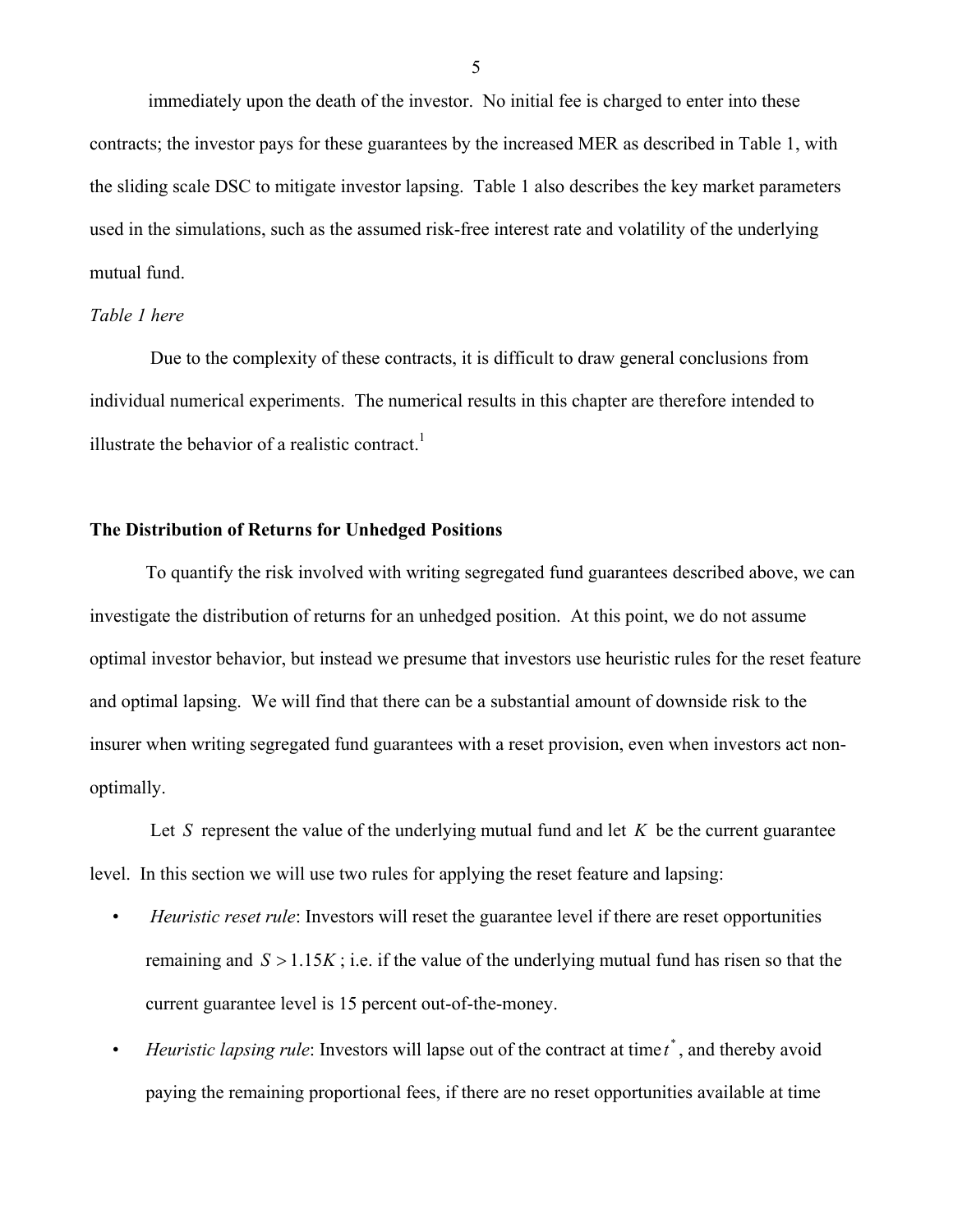immediately upon the death of the investor. No initial fee is charged to enter into these contracts; the investor pays for these guarantees by the increased MER as described in Table 1, with the sliding scale DSC to mitigate investor lapsing. Table 1 also describes the key market parameters used in the simulations, such as the assumed risk-free interest rate and volatility of the underlying mutual fund.

#### *Table 1 here*

 Due to the complexity of these contracts, it is difficult to draw general conclusions from individual numerical experiments. The numerical results in this chapter are therefore intended to illustrate the behavior of a realistic contract.<sup>[1](#page-35-0)</sup>

## **The Distribution of Returns for Unhedged Positions**

To quantify the risk involved with writing segregated fund guarantees described above, we can investigate the distribution of returns for an unhedged position. At this point, we do not assume optimal investor behavior, but instead we presume that investors use heuristic rules for the reset feature and optimal lapsing. We will find that there can be a substantial amount of downside risk to the insurer when writing segregated fund guarantees with a reset provision, even when investors act nonoptimally.

Let *S* represent the value of the underlying mutual fund and let *K* be the current guarantee level. In this section we will use two rules for applying the reset feature and lapsing:

- *Heuristic reset rule*: Investors will reset the guarantee level if there are reset opportunities remaining and  $S > 1.15K$ ; i.e. if the value of the underlying mutual fund has risen so that the current guarantee level is 15 percent out-of-the-money.
- *Heuristic lapsing rule*: Investors will lapse out of the contract at time  $t^*$ , and thereby avoid paying the remaining proportional fees, if there are no reset opportunities available at time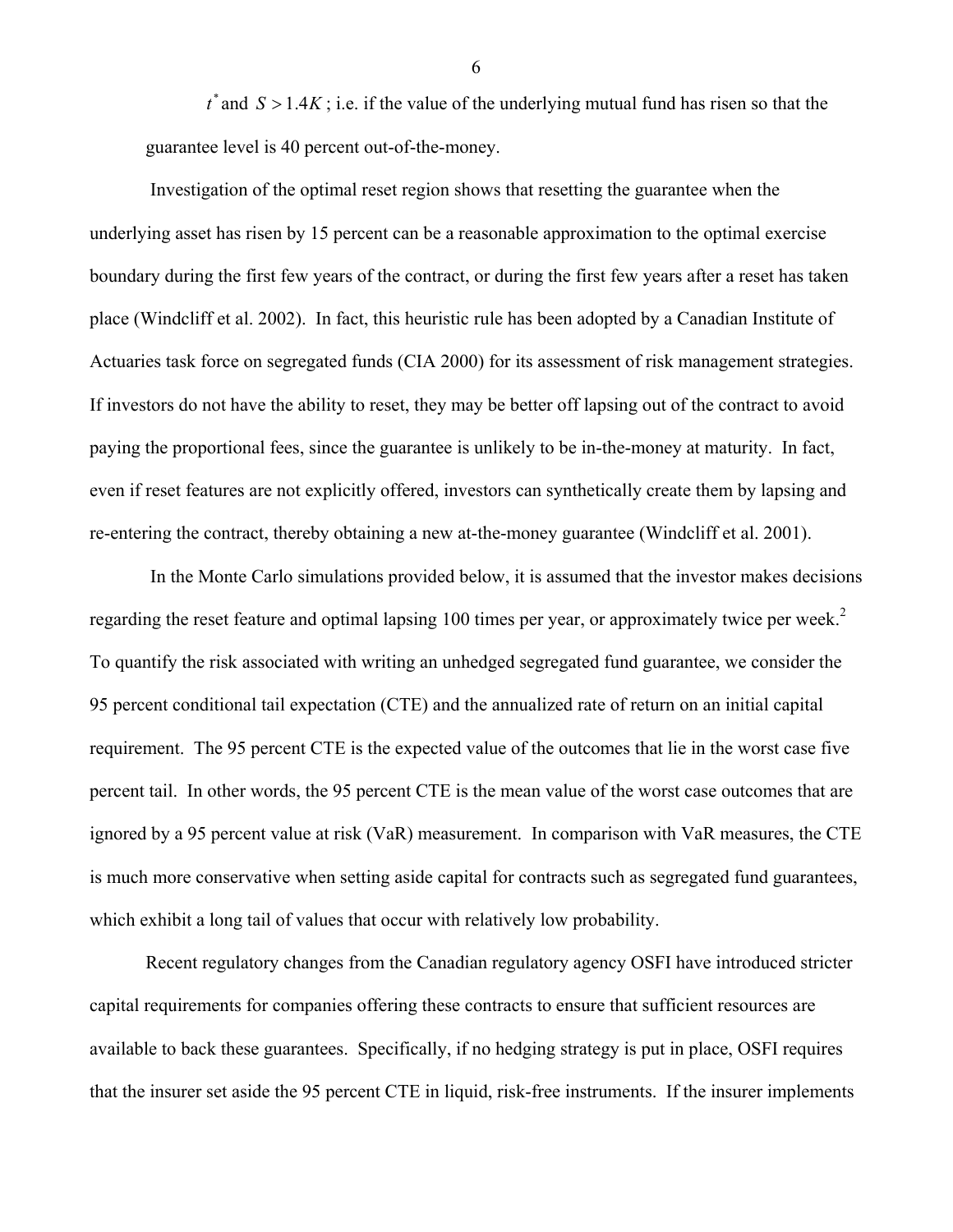$t^*$  and  $S > 1.4K$ ; i.e. if the value of the underlying mutual fund has risen so that the guarantee level is 40 percent out-of-the-money.

 Investigation of the optimal reset region shows that resetting the guarantee when the underlying asset has risen by 15 percent can be a reasonable approximation to the optimal exercise boundary during the first few years of the contract, or during the first few years after a reset has taken place (Windcliff et al. 2002). In fact, this heuristic rule has been adopted by a Canadian Institute of Actuaries task force on segregated funds (CIA 2000) for its assessment of risk management strategies. If investors do not have the ability to reset, they may be better off lapsing out of the contract to avoid paying the proportional fees, since the guarantee is unlikely to be in-the-money at maturity. In fact, even if reset features are not explicitly offered, investors can synthetically create them by lapsing and re-entering the contract, thereby obtaining a new at-the-money guarantee (Windcliff et al. 2001).

 In the Monte Carlo simulations provided below, it is assumed that the investor makes decisions regarding the reset feature and optimal lapsing 100 times per year, or approximately twice per week.<sup>2</sup> To quantify the risk associated with writing an unhedged segregated fund guarantee, we consider the 95 percent conditional tail expectation (CTE) and the annualized rate of return on an initial capital requirement. The 95 percent CTE is the expected value of the outcomes that lie in the worst case five percent tail. In other words, the 95 percent CTE is the mean value of the worst case outcomes that are ignored by a 95 percent value at risk (VaR) measurement. In comparison with VaR measures, the CTE is much more conservative when setting aside capital for contracts such as segregated fund guarantees, which exhibit a long tail of values that occur with relatively low probability.

Recent regulatory changes from the Canadian regulatory agency OSFI have introduced stricter capital requirements for companies offering these contracts to ensure that sufficient resources are available to back these guarantees. Specifically, if no hedging strategy is put in place, OSFI requires that the insurer set aside the 95 percent CTE in liquid, risk-free instruments. If the insurer implements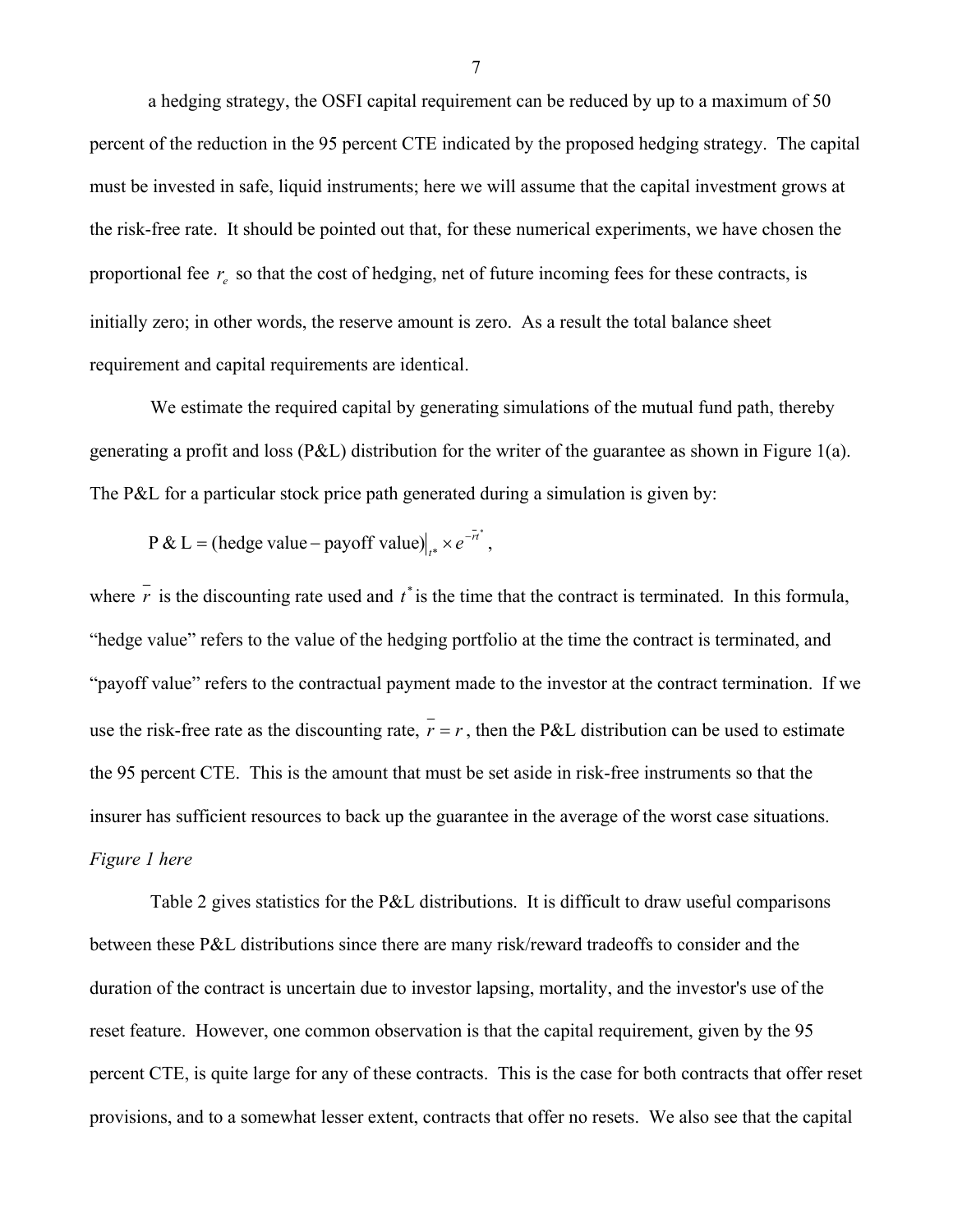a hedging strategy, the OSFI capital requirement can be reduced by up to a maximum of 50 percent of the reduction in the 95 percent CTE indicated by the proposed hedging strategy. The capital must be invested in safe, liquid instruments; here we will assume that the capital investment grows at the risk-free rate. It should be pointed out that, for these numerical experiments, we have chosen the proportional fee  $r_e$  so that the cost of hedging, net of future incoming fees for these contracts, is initially zero; in other words, the reserve amount is zero. As a result the total balance sheet requirement and capital requirements are identical.

 We estimate the required capital by generating simulations of the mutual fund path, thereby generating a profit and loss (P&L) distribution for the writer of the guarantee as shown in Figure 1(a). The P&L for a particular stock price path generated during a simulation is given by:

 $P & L = \left( \text{hedge value} - \text{payoff value} \right) \Big|_{t^*} \times e^{-\overline{t}t^*},$ 

where  $\overline{r}$  is the discounting rate used and  $\overline{t}^*$  is the time that the contract is terminated. In this formula, "hedge value" refers to the value of the hedging portfolio at the time the contract is terminated, and "payoff value" refers to the contractual payment made to the investor at the contract termination. If we use the risk-free rate as the discounting rate,  $r = r$ , then the P&L distribution can be used to estimate the 95 percent CTE. This is the amount that must be set aside in risk-free instruments so that the insurer has sufficient resources to back up the guarantee in the average of the worst case situations. *Figure 1 here*

 Table 2 gives statistics for the P&L distributions. It is difficult to draw useful comparisons between these P&L distributions since there are many risk/reward tradeoffs to consider and the duration of the contract is uncertain due to investor lapsing, mortality, and the investor's use of the reset feature. However, one common observation is that the capital requirement, given by the 95 percent CTE, is quite large for any of these contracts. This is the case for both contracts that offer reset provisions, and to a somewhat lesser extent, contracts that offer no resets. We also see that the capital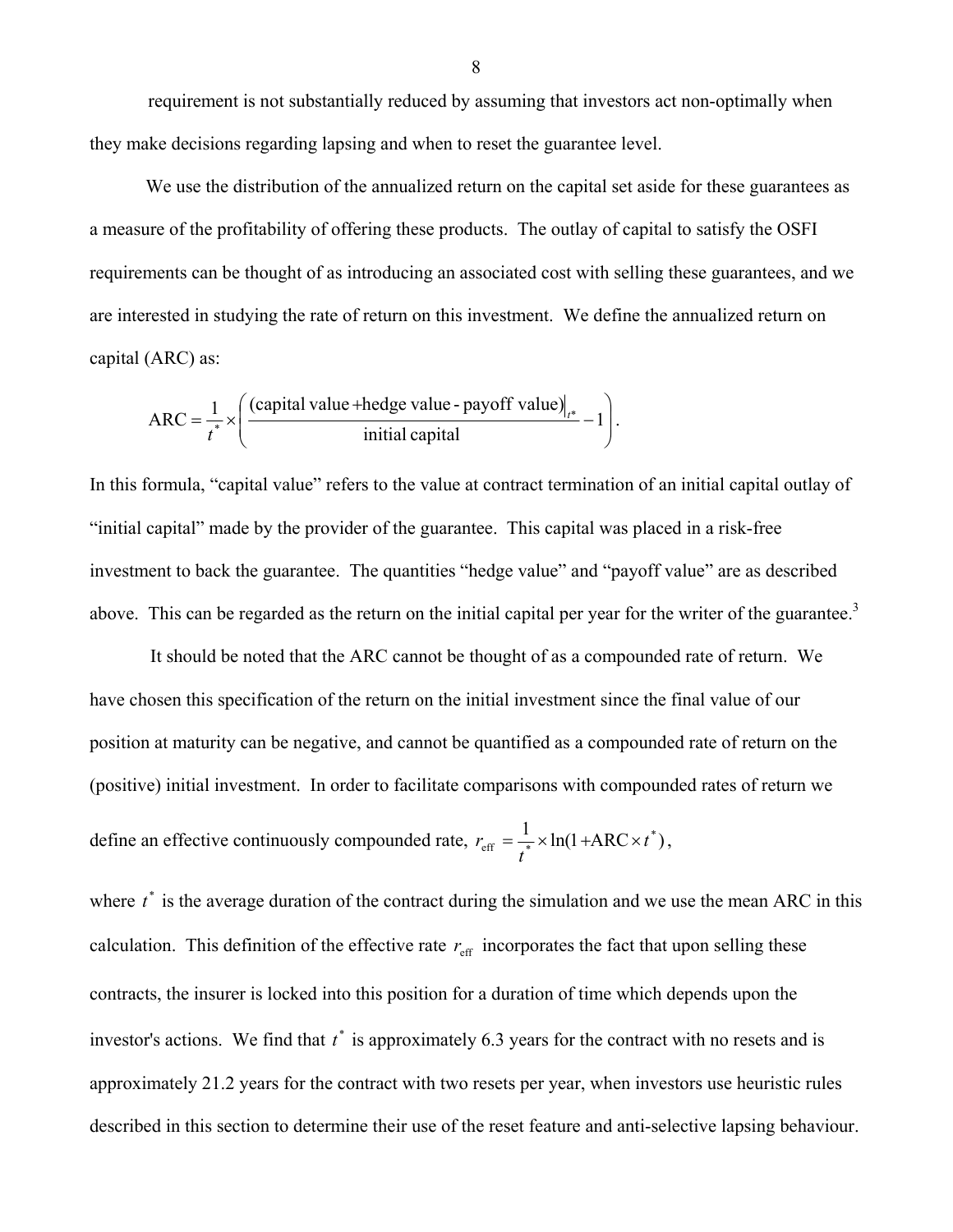requirement is not substantially reduced by assuming that investors act non-optimally when they make decisions regarding lapsing and when to reset the guarantee level.

We use the distribution of the annualized return on the capital set aside for these guarantees as a measure of the profitability of offering these products. The outlay of capital to satisfy the OSFI requirements can be thought of as introducing an associated cost with selling these guarantees, and we are interested in studying the rate of return on this investment. We define the annualized return on capital (ARC) as:

$$
ARC = \frac{1}{t^*} \times \left( \frac{(\text{capital value} + \text{hedge value} - \text{payoff value})\Big|_{t^*}}{\text{initial capital}} - 1 \right).
$$

In this formula, "capital value" refers to the value at contract termination of an initial capital outlay of "initial capital" made by the provider of the guarantee. This capital was placed in a risk-free investment to back the guarantee. The quantities "hedge value" and "payoff value" are as described above. This can be regarded as the return on the initial capital per year for the writer of the guarantee.<sup>3</sup>

 It should be noted that the ARC cannot be thought of as a compounded rate of return. We have chosen this specification of the return on the initial investment since the final value of our position at maturity can be negative, and cannot be quantified as a compounded rate of return on the (positive) initial investment. In order to facilitate comparisons with compounded rates of return we

define an effective continuously compounded rate,  $r_{\text{eff}} = \frac{1}{t^*} \times \ln(1 + \text{ARC} \times t^*)$  $r_{\rm eff} = \frac{1}{\ast} \times \ln(1 + \text{ARC} \times t^*)$ ,

where  $t^*$  is the average duration of the contract during the simulation and we use the mean ARC in this calculation. This definition of the effective rate  $r_{\text{eff}}$  incorporates the fact that upon selling these contracts, the insurer is locked into this position for a duration of time which depends upon the investor's actions. We find that  $t^*$  is approximately 6.3 years for the contract with no resets and is approximately 21.2 years for the contract with two resets per year, when investors use heuristic rules described in this section to determine their use of the reset feature and anti-selective lapsing behaviour.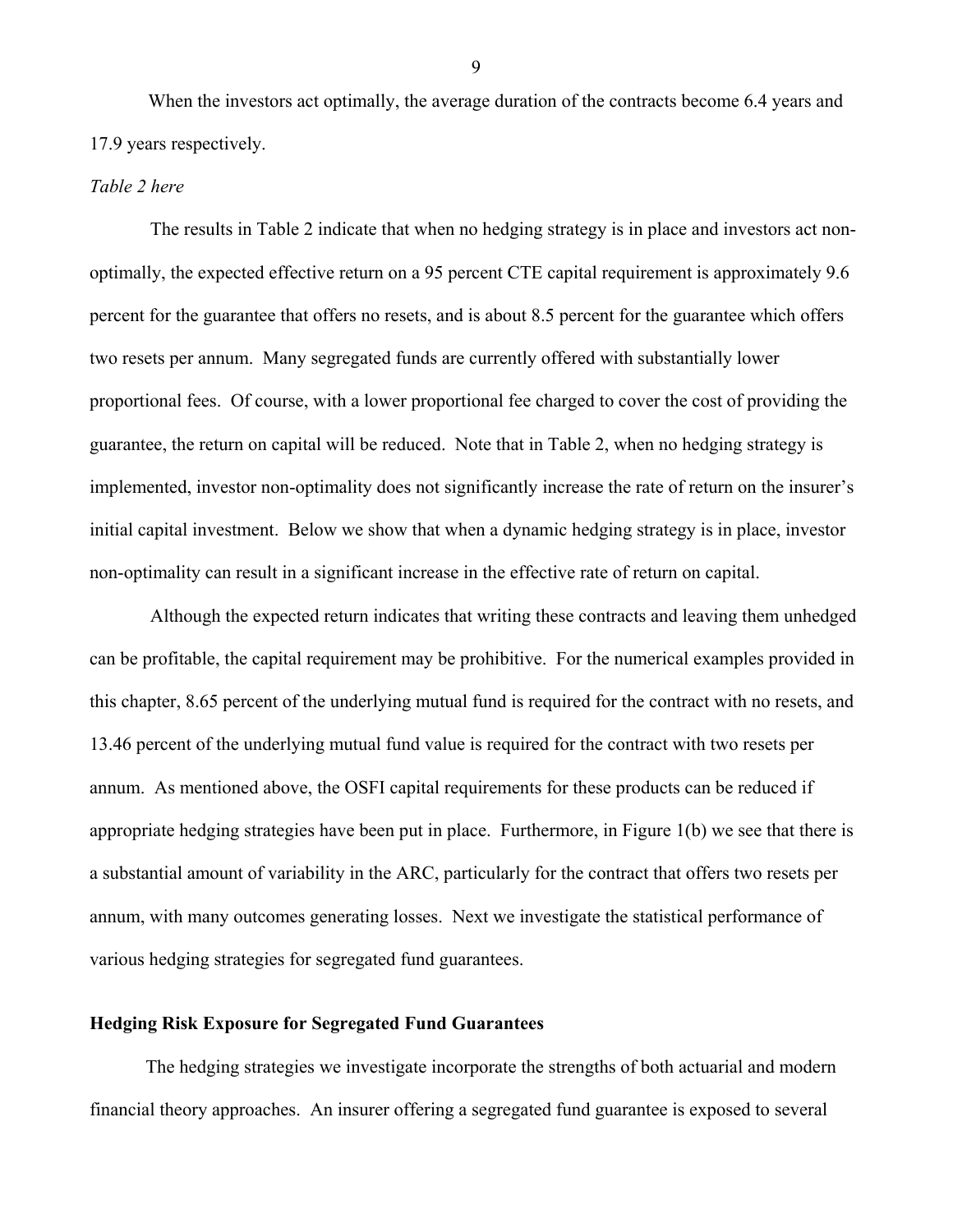When the investors act optimally, the average duration of the contracts become 6.4 years and 17.9 years respectively.

#### *Table 2 here*

 The results in Table 2 indicate that when no hedging strategy is in place and investors act nonoptimally, the expected effective return on a 95 percent CTE capital requirement is approximately 9.6 percent for the guarantee that offers no resets, and is about 8.5 percent for the guarantee which offers two resets per annum. Many segregated funds are currently offered with substantially lower proportional fees. Of course, with a lower proportional fee charged to cover the cost of providing the guarantee, the return on capital will be reduced. Note that in Table 2, when no hedging strategy is implemented, investor non-optimality does not significantly increase the rate of return on the insurer's initial capital investment. Below we show that when a dynamic hedging strategy is in place, investor non-optimality can result in a significant increase in the effective rate of return on capital.

 Although the expected return indicates that writing these contracts and leaving them unhedged can be profitable, the capital requirement may be prohibitive. For the numerical examples provided in this chapter, 8.65 percent of the underlying mutual fund is required for the contract with no resets, and 13.46 percent of the underlying mutual fund value is required for the contract with two resets per annum. As mentioned above, the OSFI capital requirements for these products can be reduced if appropriate hedging strategies have been put in place. Furthermore, in Figure 1(b) we see that there is a substantial amount of variability in the ARC, particularly for the contract that offers two resets per annum, with many outcomes generating losses. Next we investigate the statistical performance of various hedging strategies for segregated fund guarantees.

### **Hedging Risk Exposure for Segregated Fund Guarantees**

 The hedging strategies we investigate incorporate the strengths of both actuarial and modern financial theory approaches. An insurer offering a segregated fund guarantee is exposed to several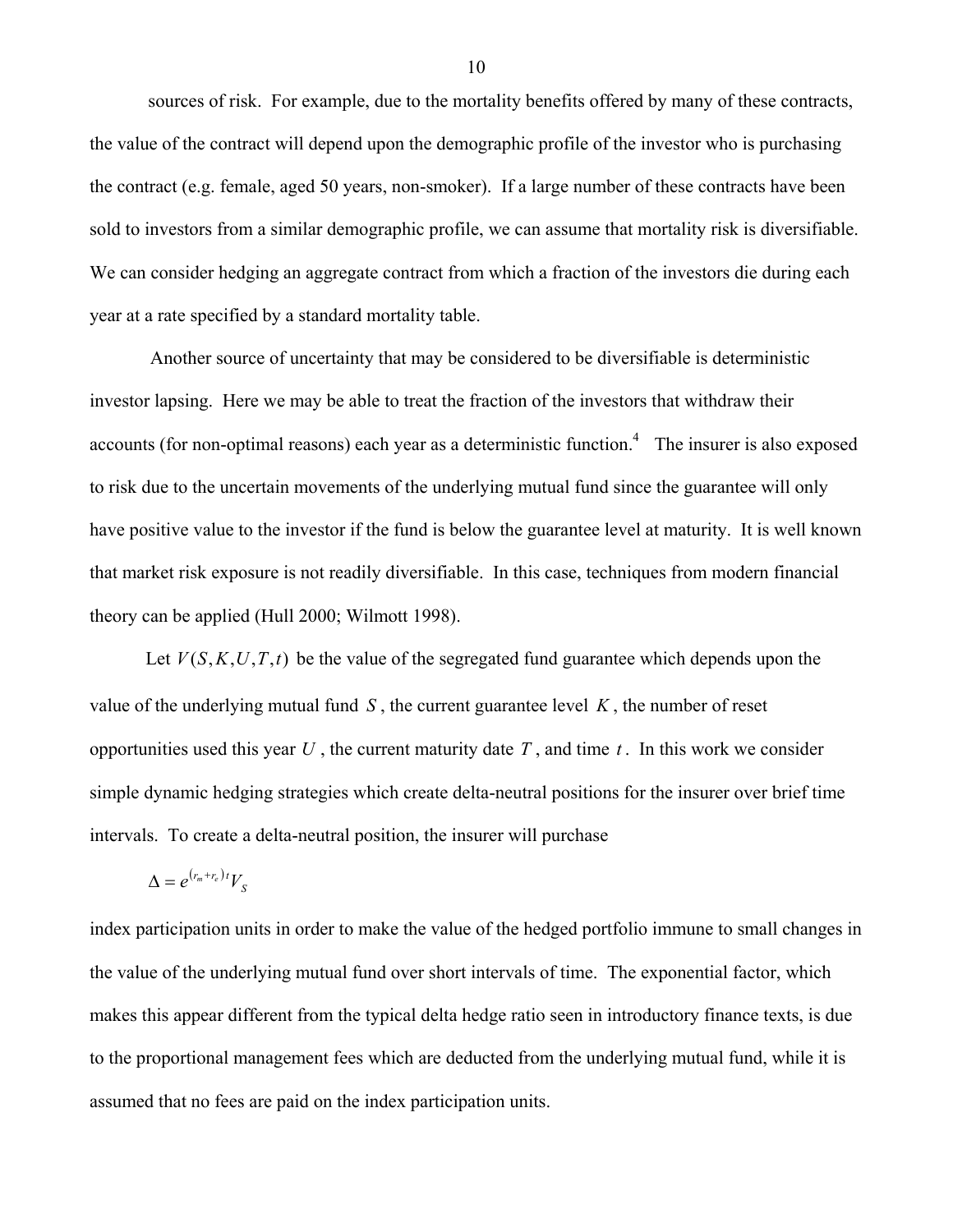sources of risk. For example, due to the mortality benefits offered by many of these contracts, the value of the contract will depend upon the demographic profile of the investor who is purchasing the contract (e.g. female, aged 50 years, non-smoker). If a large number of these contracts have been sold to investors from a similar demographic profile, we can assume that mortality risk is diversifiable. We can consider hedging an aggregate contract from which a fraction of the investors die during each year at a rate specified by a standard mortality table.

 Another source of uncertainty that may be considered to be diversifiable is deterministic investor lapsing. Here we may be able to treat the fraction of the investors that withdraw their accounts (for non-optimal reasons) each year as a deterministic function.<sup>[4](#page-35-3)</sup> The insurer is also exposed to risk due to the uncertain movements of the underlying mutual fund since the guarantee will only have positive value to the investor if the fund is below the guarantee level at maturity. It is well known that market risk exposure is not readily diversifiable. In this case, techniques from modern financial theory can be applied (Hull 2000; Wilmott 1998).

Let  $V(S, K, U, T, t)$  be the value of the segregated fund guarantee which depends upon the value of the underlying mutual fund  $S$ , the current guarantee level  $K$ , the number of reset opportunities used this year  $U$ , the current maturity date  $T$ , and time  $t$ . In this work we consider simple dynamic hedging strategies which create delta-neutral positions for the insurer over brief time intervals. To create a delta-neutral position, the insurer will purchase

$$
\Delta = e^{(r_m + r_e)t} V_s
$$

index participation units in order to make the value of the hedged portfolio immune to small changes in the value of the underlying mutual fund over short intervals of time. The exponential factor, which makes this appear different from the typical delta hedge ratio seen in introductory finance texts, is due to the proportional management fees which are deducted from the underlying mutual fund, while it is assumed that no fees are paid on the index participation units.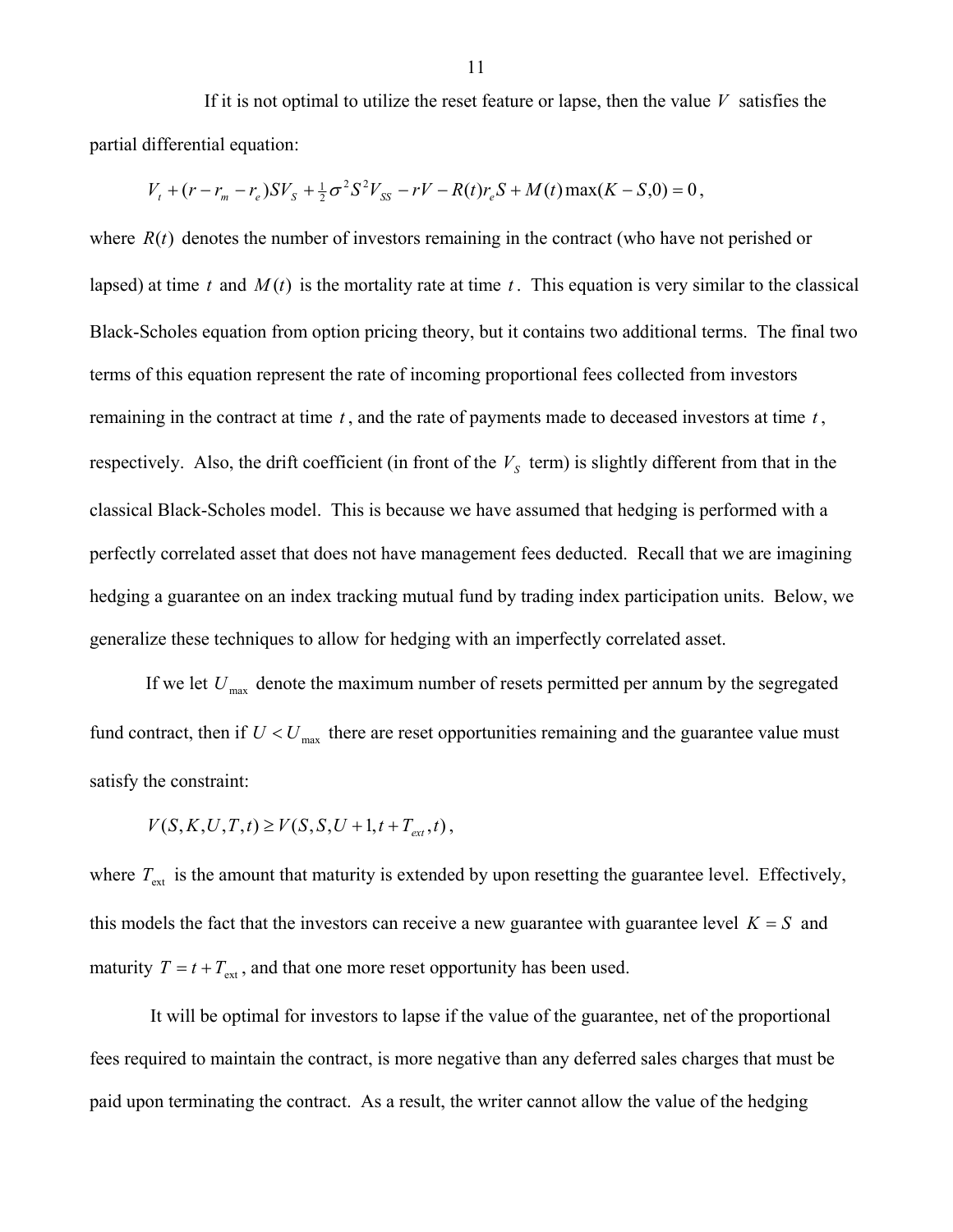If it is not optimal to utilize the reset feature or lapse, then the value *V* satisfies the partial differential equation:

$$
V_t + (r - r_m - r_e)SV_S + \frac{1}{2}\sigma^2 S^2 V_{SS} - rV - R(t)r_e S + M(t) \max(K - S, 0) = 0,
$$

where  $R(t)$  denotes the number of investors remaining in the contract (who have not perished or lapsed) at time  $t$  and  $M(t)$  is the mortality rate at time  $t$ . This equation is very similar to the classical Black-Scholes equation from option pricing theory, but it contains two additional terms. The final two terms of this equation represent the rate of incoming proportional fees collected from investors remaining in the contract at time  $t$ , and the rate of payments made to deceased investors at time  $t$ , respectively. Also, the drift coefficient (in front of the  $V_s$  term) is slightly different from that in the classical Black-Scholes model. This is because we have assumed that hedging is performed with a perfectly correlated asset that does not have management fees deducted. Recall that we are imagining hedging a guarantee on an index tracking mutual fund by trading index participation units. Below, we generalize these techniques to allow for hedging with an imperfectly correlated asset.

If we let  $U_{\text{max}}$  denote the maximum number of resets permitted per annum by the segregated fund contract, then if  $U < U_{\text{max}}$  there are reset opportunities remaining and the guarantee value must satisfy the constraint:

$$
V(S, K, U, T, t) \ge V(S, S, U + 1, t + T_{ext}, t),
$$

where  $T_{\text{ext}}$  is the amount that maturity is extended by upon resetting the guarantee level. Effectively, this models the fact that the investors can receive a new guarantee with guarantee level  $K = S$  and maturity  $T = t + T_{ext}$ , and that one more reset opportunity has been used.

 It will be optimal for investors to lapse if the value of the guarantee, net of the proportional fees required to maintain the contract, is more negative than any deferred sales charges that must be paid upon terminating the contract. As a result, the writer cannot allow the value of the hedging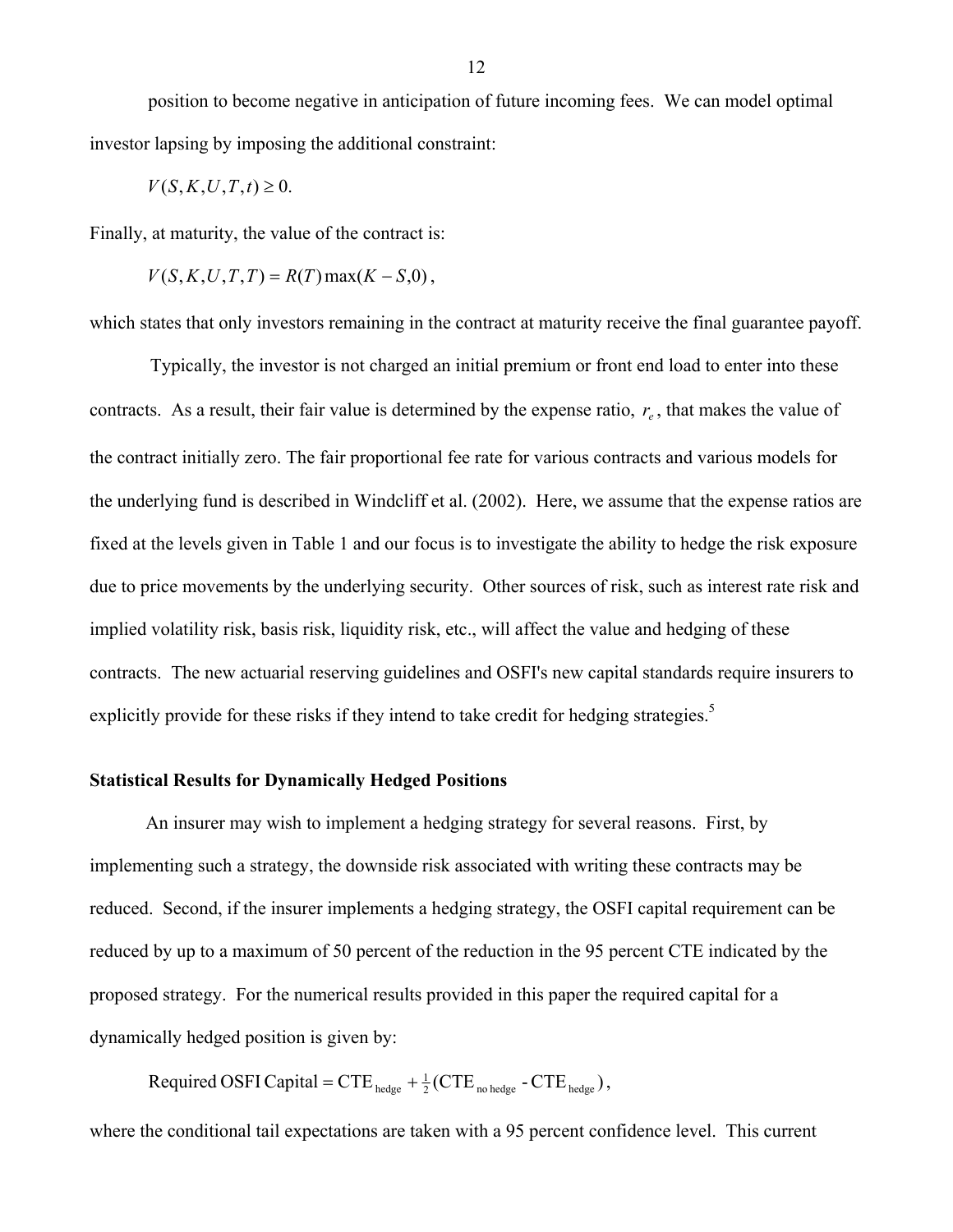position to become negative in anticipation of future incoming fees. We can model optimal investor lapsing by imposing the additional constraint:

$$
V(S, K, U, T, t) \ge 0.
$$

Finally, at maturity, the value of the contract is:

$$
V(S, K, U, T, T) = R(T) \max(K - S, 0),
$$

which states that only investors remaining in the contract at maturity receive the final guarantee payoff.

 Typically, the investor is not charged an initial premium or front end load to enter into these contracts. As a result, their fair value is determined by the expense ratio,  $r_e$ , that makes the value of the contract initially zero. The fair proportional fee rate for various contracts and various models for the underlying fund is described in Windcliff et al. (2002). Here, we assume that the expense ratios are fixed at the levels given in Table 1 and our focus is to investigate the ability to hedge the risk exposure due to price movements by the underlying security. Other sources of risk, such as interest rate risk and implied volatility risk, basis risk, liquidity risk, etc., will affect the value and hedging of these contracts. The new actuarial reserving guidelines and OSFI's new capital standards require insurers to explicitly provide for these risks if they intend to take credit for hedging strategies.<sup>[5](#page-35-4)</sup>

## **Statistical Results for Dynamically Hedged Positions**

An insurer may wish to implement a hedging strategy for several reasons. First, by implementing such a strategy, the downside risk associated with writing these contracts may be reduced. Second, if the insurer implements a hedging strategy, the OSFI capital requirement can be reduced by up to a maximum of 50 percent of the reduction in the 95 percent CTE indicated by the proposed strategy. For the numerical results provided in this paper the required capital for a dynamically hedged position is given by:

Required OSFI Capital =  $\text{CTE}_{\text{hedge}} + \frac{1}{2} (\text{CTE}_{\text{no hedge}} - \text{CTE}_{\text{hedge}})$ ,

where the conditional tail expectations are taken with a 95 percent confidence level. This current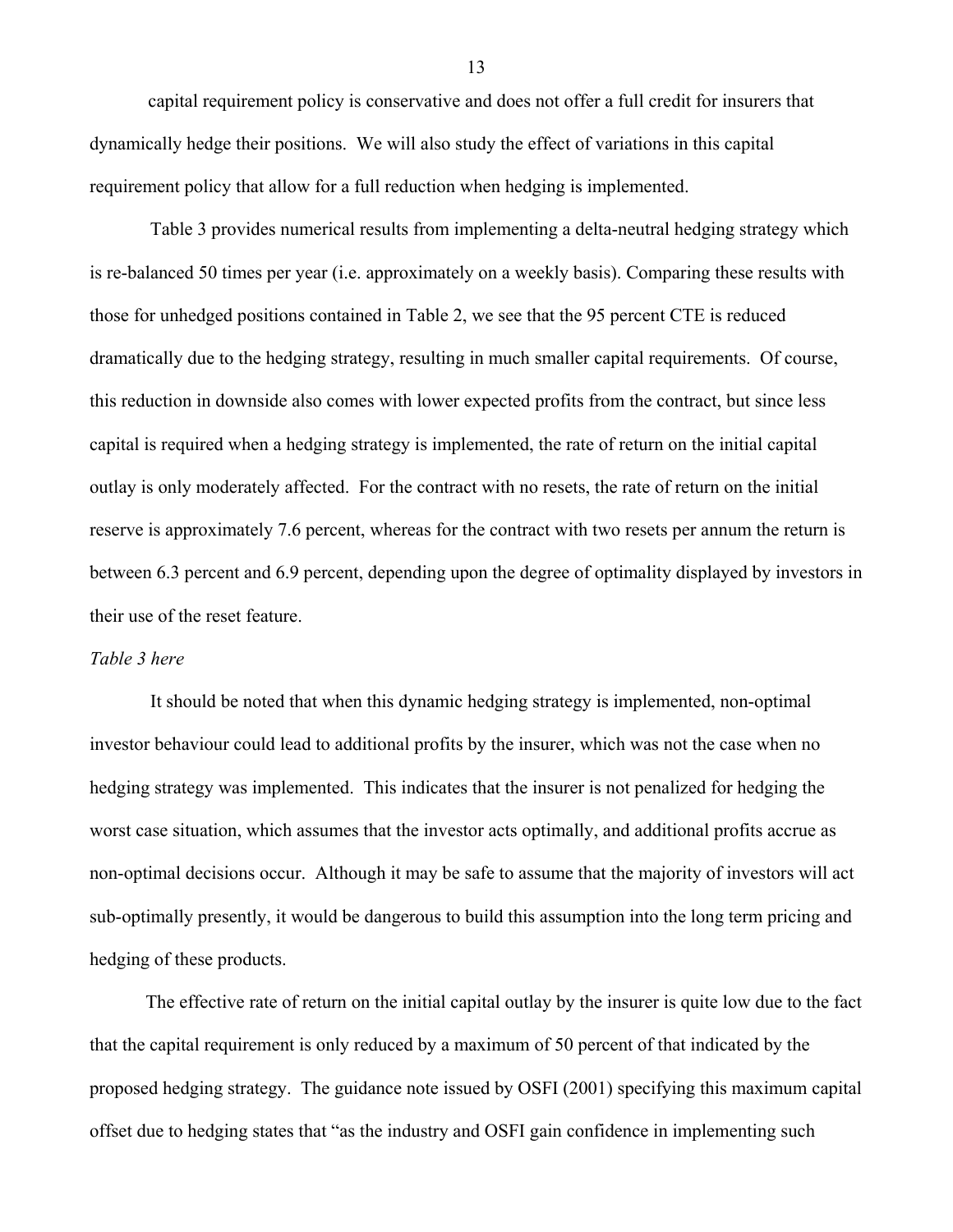capital requirement policy is conservative and does not offer a full credit for insurers that dynamically hedge their positions. We will also study the effect of variations in this capital requirement policy that allow for a full reduction when hedging is implemented.

 Table 3 provides numerical results from implementing a delta-neutral hedging strategy which is re-balanced 50 times per year (i.e. approximately on a weekly basis). Comparing these results with those for unhedged positions contained in Table 2, we see that the 95 percent CTE is reduced dramatically due to the hedging strategy, resulting in much smaller capital requirements. Of course, this reduction in downside also comes with lower expected profits from the contract, but since less capital is required when a hedging strategy is implemented, the rate of return on the initial capital outlay is only moderately affected. For the contract with no resets, the rate of return on the initial reserve is approximately 7.6 percent, whereas for the contract with two resets per annum the return is between 6.3 percent and 6.9 percent, depending upon the degree of optimality displayed by investors in their use of the reset feature.

### *Table 3 here*

 It should be noted that when this dynamic hedging strategy is implemented, non-optimal investor behaviour could lead to additional profits by the insurer, which was not the case when no hedging strategy was implemented. This indicates that the insurer is not penalized for hedging the worst case situation, which assumes that the investor acts optimally, and additional profits accrue as non-optimal decisions occur. Although it may be safe to assume that the majority of investors will act sub-optimally presently, it would be dangerous to build this assumption into the long term pricing and hedging of these products.

The effective rate of return on the initial capital outlay by the insurer is quite low due to the fact that the capital requirement is only reduced by a maximum of 50 percent of that indicated by the proposed hedging strategy. The guidance note issued by OSFI (2001) specifying this maximum capital offset due to hedging states that "as the industry and OSFI gain confidence in implementing such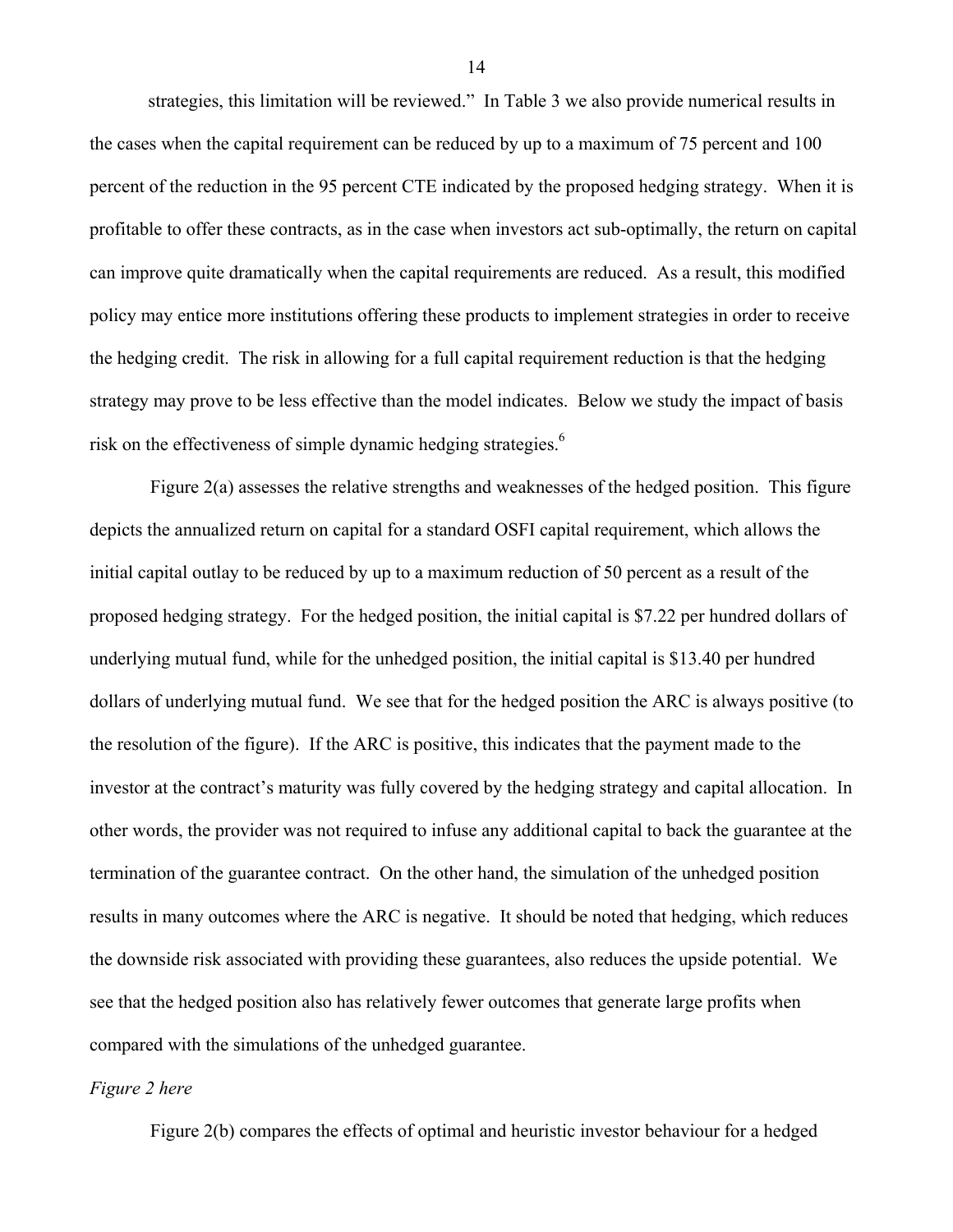strategies, this limitation will be reviewed." In Table 3 we also provide numerical results in the cases when the capital requirement can be reduced by up to a maximum of 75 percent and 100 percent of the reduction in the 95 percent CTE indicated by the proposed hedging strategy. When it is profitable to offer these contracts, as in the case when investors act sub-optimally, the return on capital can improve quite dramatically when the capital requirements are reduced. As a result, this modified policy may entice more institutions offering these products to implement strategies in order to receive the hedging credit. The risk in allowing for a full capital requirement reduction is that the hedging strategy may prove to be less effective than the model indicates. Below we study the impact of basis risk on the effectiveness of simple dynamic hedging strategies. $6$ 

 Figure 2(a) assesses the relative strengths and weaknesses of the hedged position. This figure depicts the annualized return on capital for a standard OSFI capital requirement, which allows the initial capital outlay to be reduced by up to a maximum reduction of 50 percent as a result of the proposed hedging strategy. For the hedged position, the initial capital is \$7.22 per hundred dollars of underlying mutual fund, while for the unhedged position, the initial capital is \$13.40 per hundred dollars of underlying mutual fund. We see that for the hedged position the ARC is always positive (to the resolution of the figure). If the ARC is positive, this indicates that the payment made to the investor at the contract's maturity was fully covered by the hedging strategy and capital allocation. In other words, the provider was not required to infuse any additional capital to back the guarantee at the termination of the guarantee contract. On the other hand, the simulation of the unhedged position results in many outcomes where the ARC is negative. It should be noted that hedging, which reduces the downside risk associated with providing these guarantees, also reduces the upside potential. We see that the hedged position also has relatively fewer outcomes that generate large profits when compared with the simulations of the unhedged guarantee.

### *Figure 2 here*

Figure 2(b) compares the effects of optimal and heuristic investor behaviour for a hedged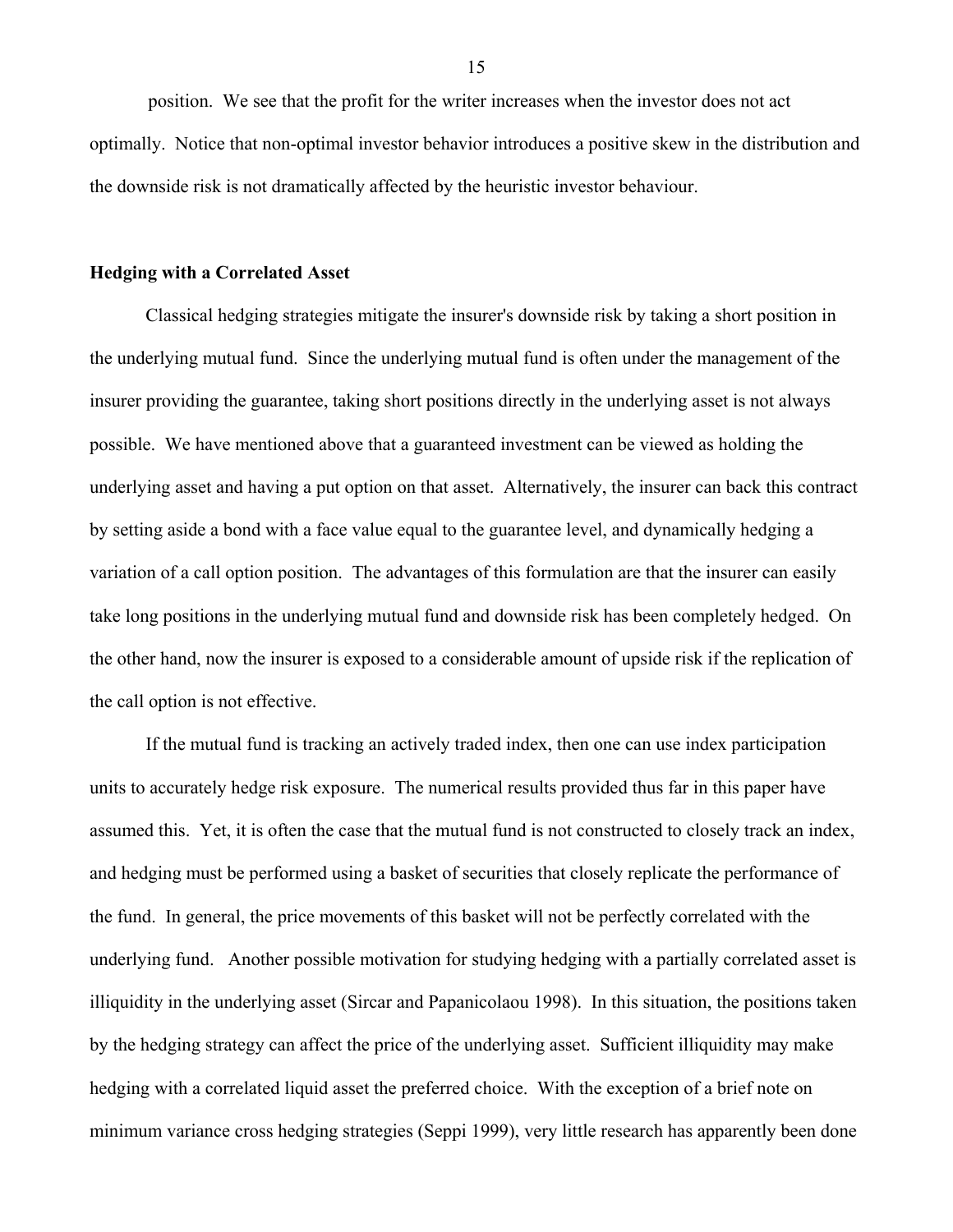position. We see that the profit for the writer increases when the investor does not act optimally. Notice that non-optimal investor behavior introduces a positive skew in the distribution and the downside risk is not dramatically affected by the heuristic investor behaviour.

#### **Hedging with a Correlated Asset**

Classical hedging strategies mitigate the insurer's downside risk by taking a short position in the underlying mutual fund. Since the underlying mutual fund is often under the management of the insurer providing the guarantee, taking short positions directly in the underlying asset is not always possible. We have mentioned above that a guaranteed investment can be viewed as holding the underlying asset and having a put option on that asset. Alternatively, the insurer can back this contract by setting aside a bond with a face value equal to the guarantee level, and dynamically hedging a variation of a call option position. The advantages of this formulation are that the insurer can easily take long positions in the underlying mutual fund and downside risk has been completely hedged. On the other hand, now the insurer is exposed to a considerable amount of upside risk if the replication of the call option is not effective.

If the mutual fund is tracking an actively traded index, then one can use index participation units to accurately hedge risk exposure. The numerical results provided thus far in this paper have assumed this. Yet, it is often the case that the mutual fund is not constructed to closely track an index, and hedging must be performed using a basket of securities that closely replicate the performance of the fund. In general, the price movements of this basket will not be perfectly correlated with the underlying fund. Another possible motivation for studying hedging with a partially correlated asset is illiquidity in the underlying asset (Sircar and Papanicolaou 1998). In this situation, the positions taken by the hedging strategy can affect the price of the underlying asset. Sufficient illiquidity may make hedging with a correlated liquid asset the preferred choice. With the exception of a brief note on minimum variance cross hedging strategies (Seppi 1999), very little research has apparently been done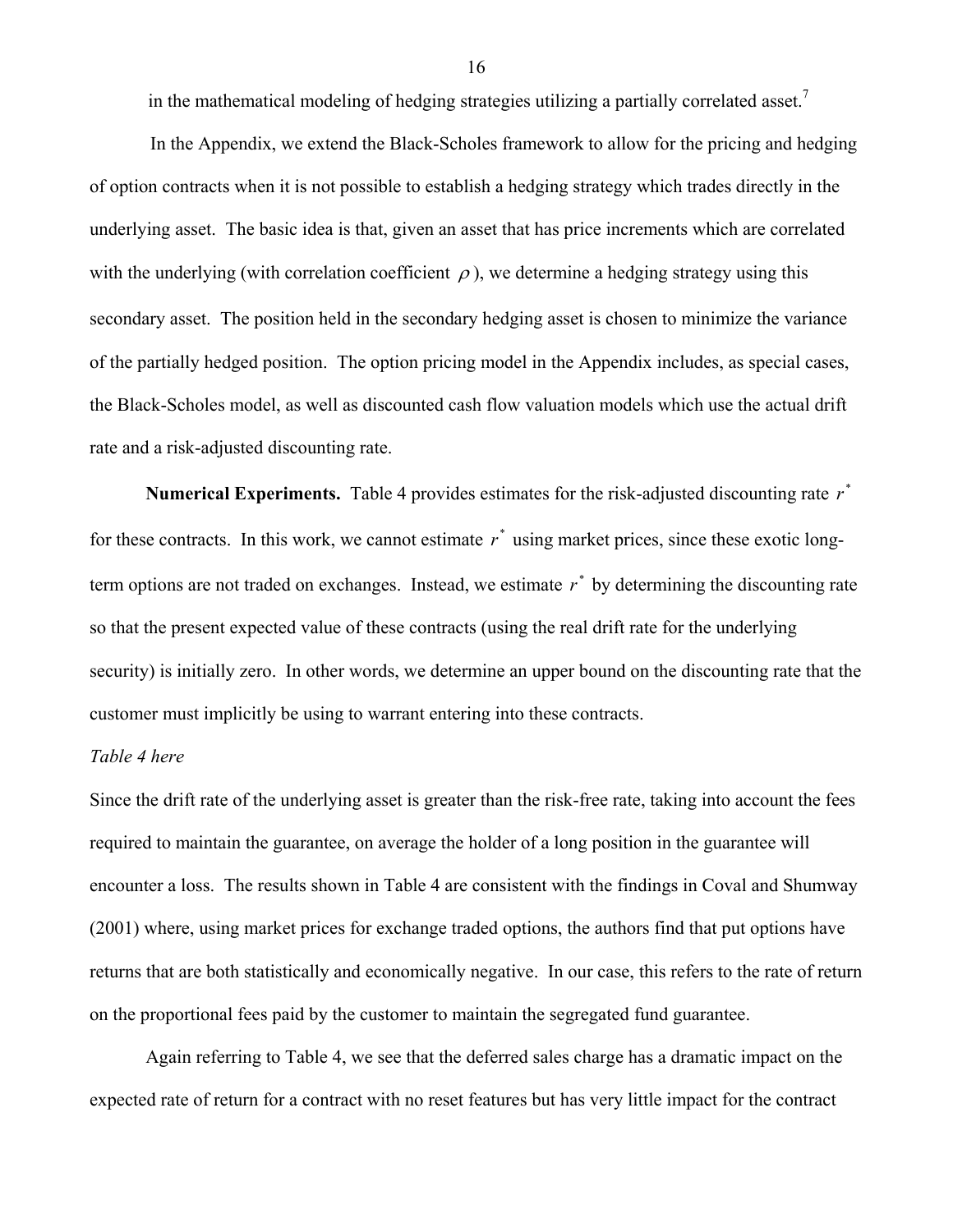in the mathematical modeling of hedging strategies utilizing a partially correlated asset.<sup>[7](#page-35-6)</sup>

 In the Appendix, we extend the Black-Scholes framework to allow for the pricing and hedging of option contracts when it is not possible to establish a hedging strategy which trades directly in the underlying asset. The basic idea is that, given an asset that has price increments which are correlated with the underlying (with correlation coefficient  $\rho$ ), we determine a hedging strategy using this secondary asset. The position held in the secondary hedging asset is chosen to minimize the variance of the partially hedged position. The option pricing model in the Appendix includes, as special cases, the Black-Scholes model, as well as discounted cash flow valuation models which use the actual drift rate and a risk-adjusted discounting rate.

**Numerical Experiments.** Table 4 provides estimates for the risk-adjusted discounting rate  $r^*$ for these contracts. In this work, we cannot estimate  $r^*$  using market prices, since these exotic longterm options are not traded on exchanges. Instead, we estimate  $r^*$  by determining the discounting rate so that the present expected value of these contracts (using the real drift rate for the underlying security) is initially zero. In other words, we determine an upper bound on the discounting rate that the customer must implicitly be using to warrant entering into these contracts.

## *Table 4 here*

Since the drift rate of the underlying asset is greater than the risk-free rate, taking into account the fees required to maintain the guarantee, on average the holder of a long position in the guarantee will encounter a loss. The results shown in Table 4 are consistent with the findings in Coval and Shumway (2001) where, using market prices for exchange traded options, the authors find that put options have returns that are both statistically and economically negative. In our case, this refers to the rate of return on the proportional fees paid by the customer to maintain the segregated fund guarantee.

Again referring to Table 4, we see that the deferred sales charge has a dramatic impact on the expected rate of return for a contract with no reset features but has very little impact for the contract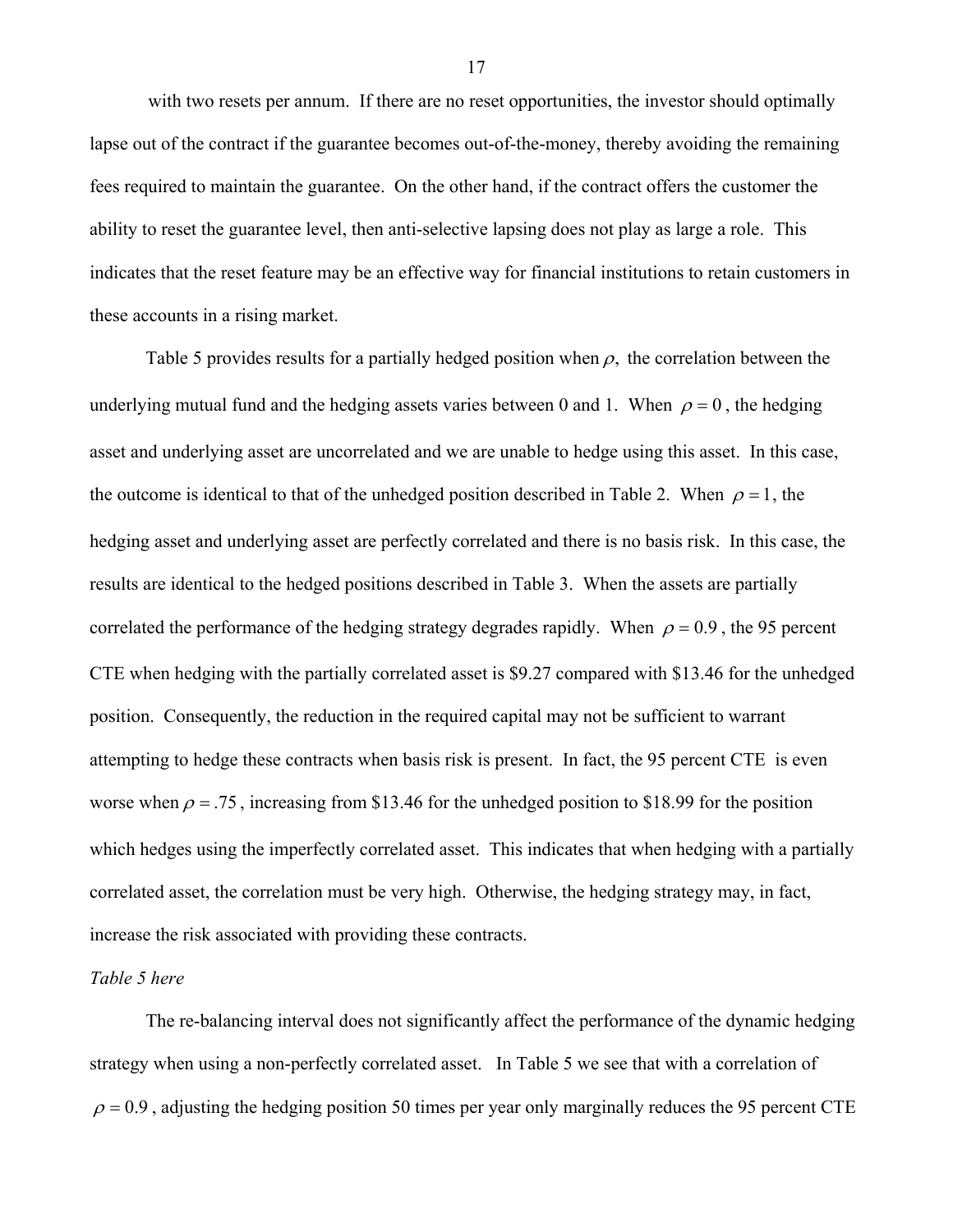with two resets per annum. If there are no reset opportunities, the investor should optimally lapse out of the contract if the guarantee becomes out-of-the-money, thereby avoiding the remaining fees required to maintain the guarantee. On the other hand, if the contract offers the customer the ability to reset the guarantee level, then anti-selective lapsing does not play as large a role. This indicates that the reset feature may be an effective way for financial institutions to retain customers in these accounts in a rising market.

Table 5 provides results for a partially hedged position when  $\rho$ , the correlation between the underlying mutual fund and the hedging assets varies between 0 and 1. When  $\rho = 0$ , the hedging asset and underlying asset are uncorrelated and we are unable to hedge using this asset. In this case, the outcome is identical to that of the unhedged position described in Table 2. When  $\rho = 1$ , the hedging asset and underlying asset are perfectly correlated and there is no basis risk. In this case, the results are identical to the hedged positions described in Table 3. When the assets are partially correlated the performance of the hedging strategy degrades rapidly. When  $\rho = 0.9$ , the 95 percent CTE when hedging with the partially correlated asset is \$9.27 compared with \$13.46 for the unhedged position. Consequently, the reduction in the required capital may not be sufficient to warrant attempting to hedge these contracts when basis risk is present. In fact, the 95 percent CTE is even worse when  $\rho = 0.75$ , increasing from \$13.46 for the unhedged position to \$18.99 for the position which hedges using the imperfectly correlated asset. This indicates that when hedging with a partially correlated asset, the correlation must be very high. Otherwise, the hedging strategy may, in fact, increase the risk associated with providing these contracts.

### *Table 5 here*

The re-balancing interval does not significantly affect the performance of the dynamic hedging strategy when using a non-perfectly correlated asset. In Table 5 we see that with a correlation of  $\rho = 0.9$ , adjusting the hedging position 50 times per year only marginally reduces the 95 percent CTE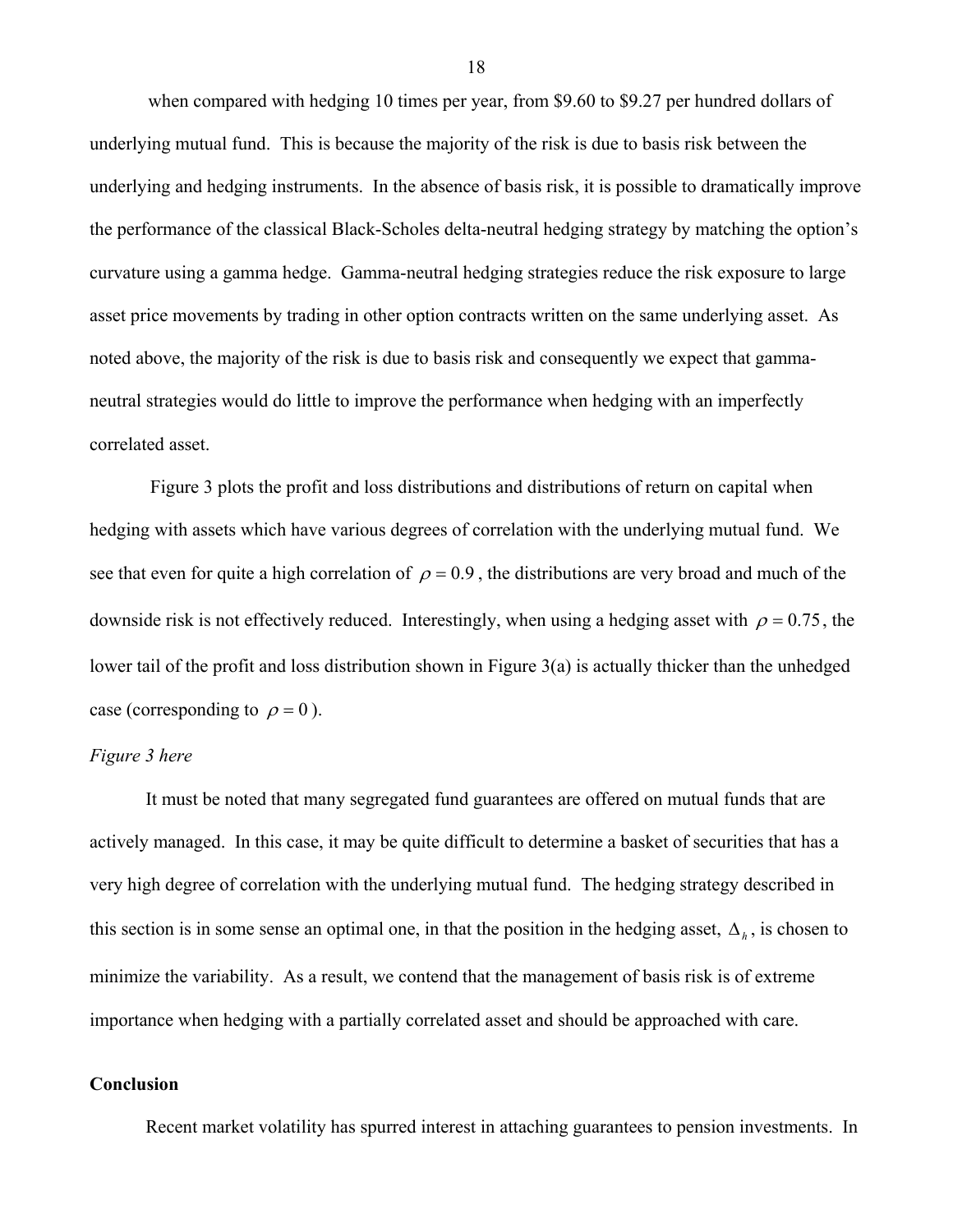when compared with hedging 10 times per year, from \$9.60 to \$9.27 per hundred dollars of underlying mutual fund. This is because the majority of the risk is due to basis risk between the underlying and hedging instruments. In the absence of basis risk, it is possible to dramatically improve the performance of the classical Black-Scholes delta-neutral hedging strategy by matching the option's curvature using a gamma hedge. Gamma-neutral hedging strategies reduce the risk exposure to large asset price movements by trading in other option contracts written on the same underlying asset. As noted above, the majority of the risk is due to basis risk and consequently we expect that gammaneutral strategies would do little to improve the performance when hedging with an imperfectly correlated asset.

 Figure 3 plots the profit and loss distributions and distributions of return on capital when hedging with assets which have various degrees of correlation with the underlying mutual fund. We see that even for quite a high correlation of  $\rho = 0.9$ , the distributions are very broad and much of the downside risk is not effectively reduced. Interestingly, when using a hedging asset with  $\rho = 0.75$ , the lower tail of the profit and loss distribution shown in Figure 3(a) is actually thicker than the unhedged case (corresponding to  $\rho = 0$ ).

## *Figure 3 here*

It must be noted that many segregated fund guarantees are offered on mutual funds that are actively managed. In this case, it may be quite difficult to determine a basket of securities that has a very high degree of correlation with the underlying mutual fund. The hedging strategy described in this section is in some sense an optimal one, in that the position in the hedging asset,  $\Delta_h$ , is chosen to minimize the variability. As a result, we contend that the management of basis risk is of extreme importance when hedging with a partially correlated asset and should be approached with care.

#### **Conclusion**

Recent market volatility has spurred interest in attaching guarantees to pension investments. In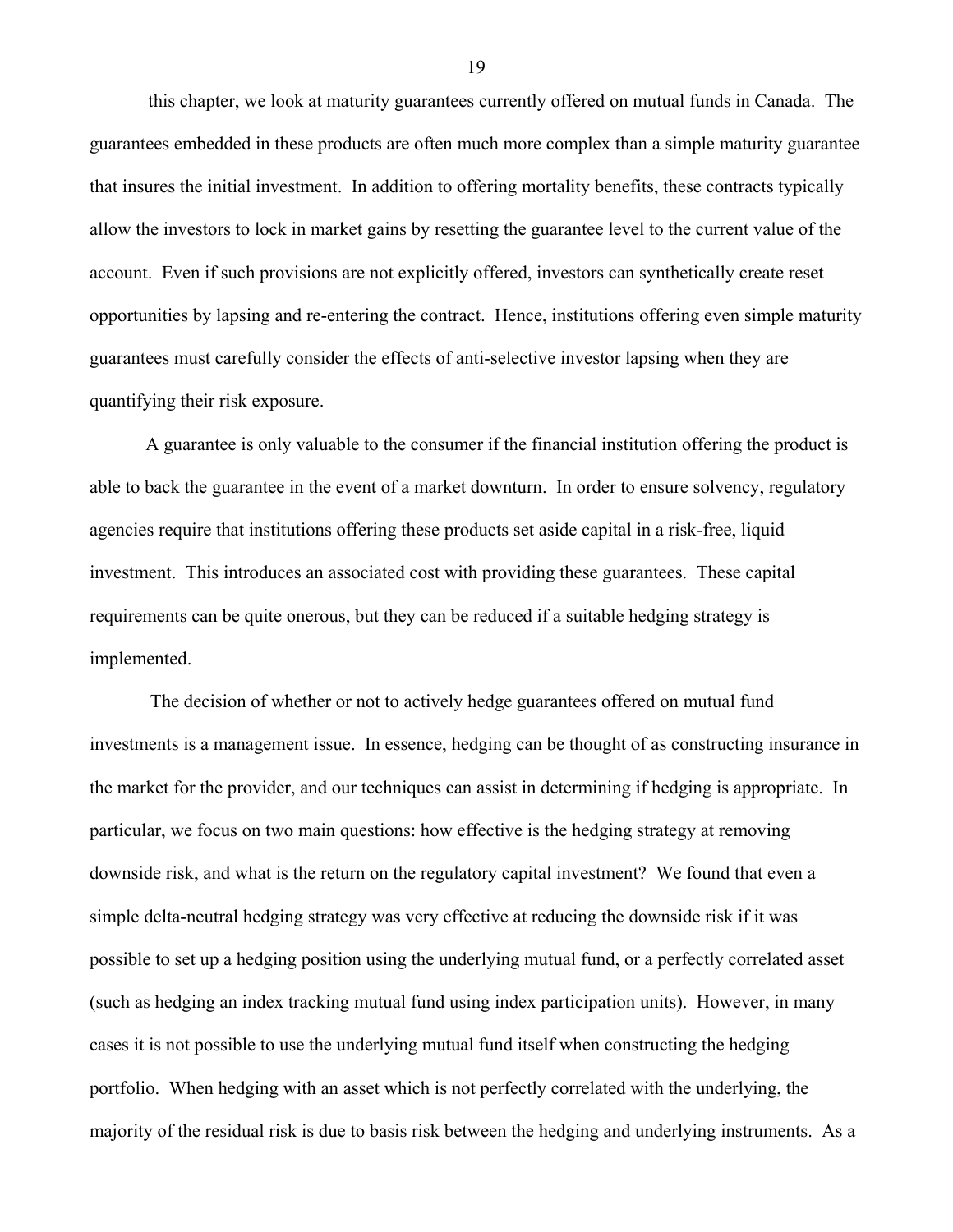this chapter, we look at maturity guarantees currently offered on mutual funds in Canada. The guarantees embedded in these products are often much more complex than a simple maturity guarantee that insures the initial investment. In addition to offering mortality benefits, these contracts typically allow the investors to lock in market gains by resetting the guarantee level to the current value of the account. Even if such provisions are not explicitly offered, investors can synthetically create reset opportunities by lapsing and re-entering the contract. Hence, institutions offering even simple maturity guarantees must carefully consider the effects of anti-selective investor lapsing when they are quantifying their risk exposure.

A guarantee is only valuable to the consumer if the financial institution offering the product is able to back the guarantee in the event of a market downturn. In order to ensure solvency, regulatory agencies require that institutions offering these products set aside capital in a risk-free, liquid investment. This introduces an associated cost with providing these guarantees. These capital requirements can be quite onerous, but they can be reduced if a suitable hedging strategy is implemented.

 The decision of whether or not to actively hedge guarantees offered on mutual fund investments is a management issue. In essence, hedging can be thought of as constructing insurance in the market for the provider, and our techniques can assist in determining if hedging is appropriate. In particular, we focus on two main questions: how effective is the hedging strategy at removing downside risk, and what is the return on the regulatory capital investment? We found that even a simple delta-neutral hedging strategy was very effective at reducing the downside risk if it was possible to set up a hedging position using the underlying mutual fund, or a perfectly correlated asset (such as hedging an index tracking mutual fund using index participation units). However, in many cases it is not possible to use the underlying mutual fund itself when constructing the hedging portfolio. When hedging with an asset which is not perfectly correlated with the underlying, the majority of the residual risk is due to basis risk between the hedging and underlying instruments. As a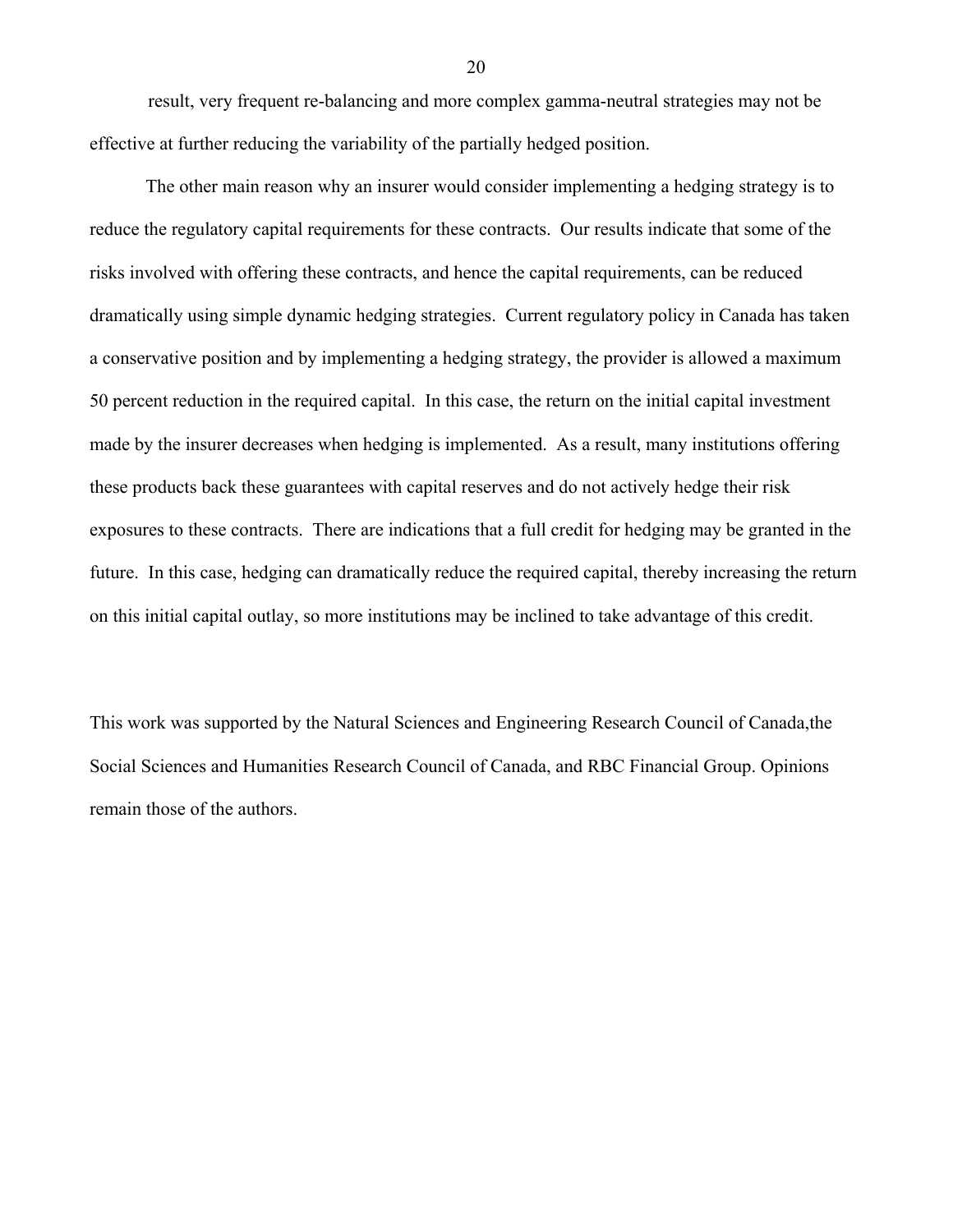result, very frequent re-balancing and more complex gamma-neutral strategies may not be effective at further reducing the variability of the partially hedged position.

The other main reason why an insurer would consider implementing a hedging strategy is to reduce the regulatory capital requirements for these contracts. Our results indicate that some of the risks involved with offering these contracts, and hence the capital requirements, can be reduced dramatically using simple dynamic hedging strategies. Current regulatory policy in Canada has taken a conservative position and by implementing a hedging strategy, the provider is allowed a maximum 50 percent reduction in the required capital. In this case, the return on the initial capital investment made by the insurer decreases when hedging is implemented. As a result, many institutions offering these products back these guarantees with capital reserves and do not actively hedge their risk exposures to these contracts. There are indications that a full credit for hedging may be granted in the future. In this case, hedging can dramatically reduce the required capital, thereby increasing the return on this initial capital outlay, so more institutions may be inclined to take advantage of this credit.

This work was supported by the Natural Sciences and Engineering Research Council of Canada,the Social Sciences and Humanities Research Council of Canada, and RBC Financial Group. Opinions remain those of the authors.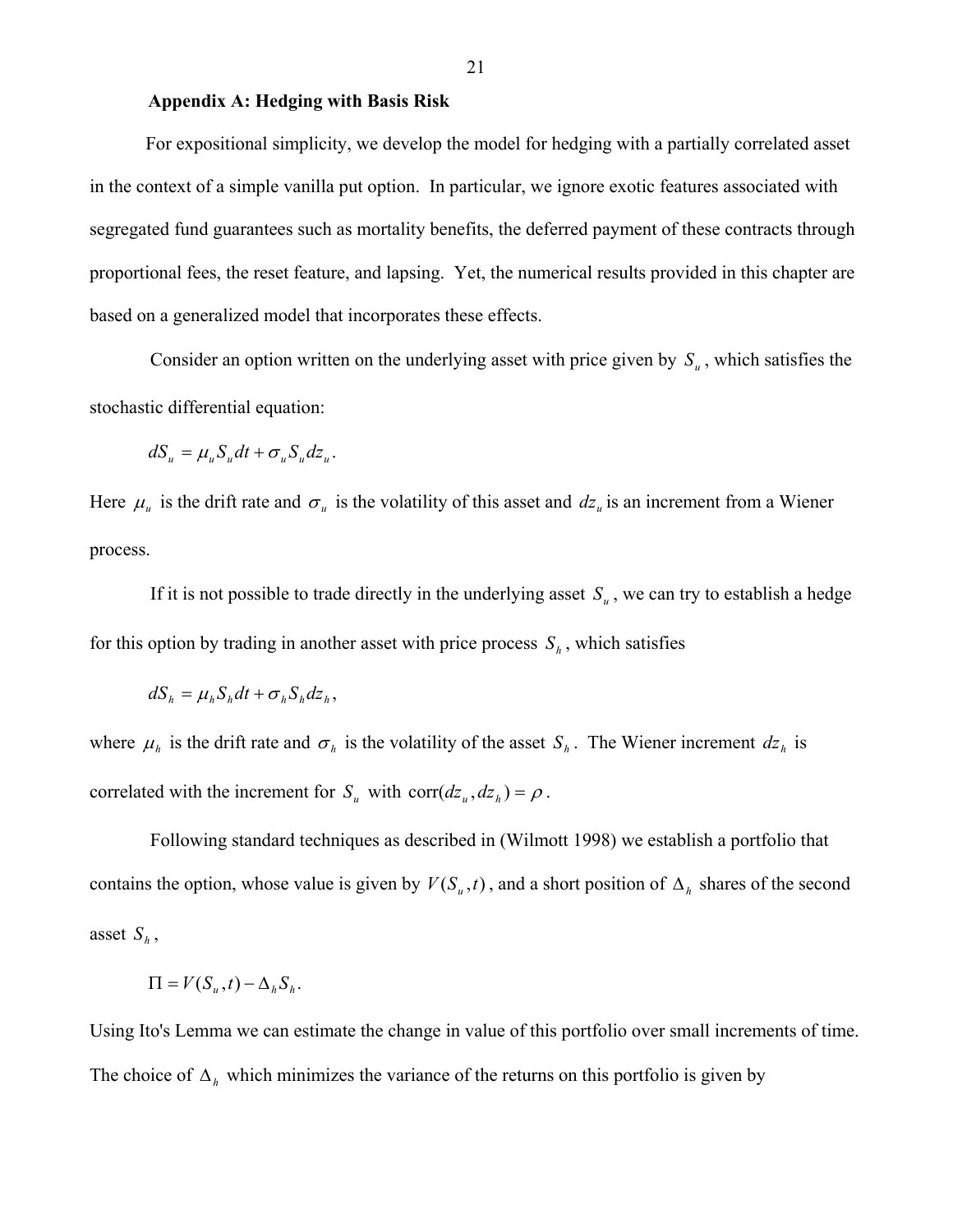### **Appendix A: Hedging with Basis Risk**

For expositional simplicity, we develop the model for hedging with a partially correlated asset in the context of a simple vanilla put option. In particular, we ignore exotic features associated with segregated fund guarantees such as mortality benefits, the deferred payment of these contracts through proportional fees, the reset feature, and lapsing. Yet, the numerical results provided in this chapter are based on a generalized model that incorporates these effects.

Consider an option written on the underlying asset with price given by  $S_u$ , which satisfies the stochastic differential equation:

$$
dS_u = \mu_u S_u dt + \sigma_u S_u dz_u.
$$

Here  $\mu_u$  is the drift rate and  $\sigma_u$  is the volatility of this asset and  $dz_u$  is an increment from a Wiener process.

If it is not possible to trade directly in the underlying asset  $S<sub>u</sub>$ , we can try to establish a hedge for this option by trading in another asset with price process  $S<sub>h</sub>$ , which satisfies

$$
dS_h = \mu_h S_h dt + \sigma_h S_h dz_h,
$$

where  $\mu_h$  is the drift rate and  $\sigma_h$  is the volatility of the asset  $S_h$ . The Wiener increment  $dz_h$  is correlated with the increment for  $S_u$  with  $\text{corr}(dz_u, dz_h) = \rho$ .

 Following standard techniques as described in (Wilmott 1998) we establish a portfolio that contains the option, whose value is given by  $V(S_u, t)$ , and a short position of  $\Delta_h$  shares of the second asset  $S_h$ ,

$$
\Pi = V(S_u, t) - \Delta_h S_h.
$$

Using Ito's Lemma we can estimate the change in value of this portfolio over small increments of time. The choice of  $\Delta_h$  which minimizes the variance of the returns on this portfolio is given by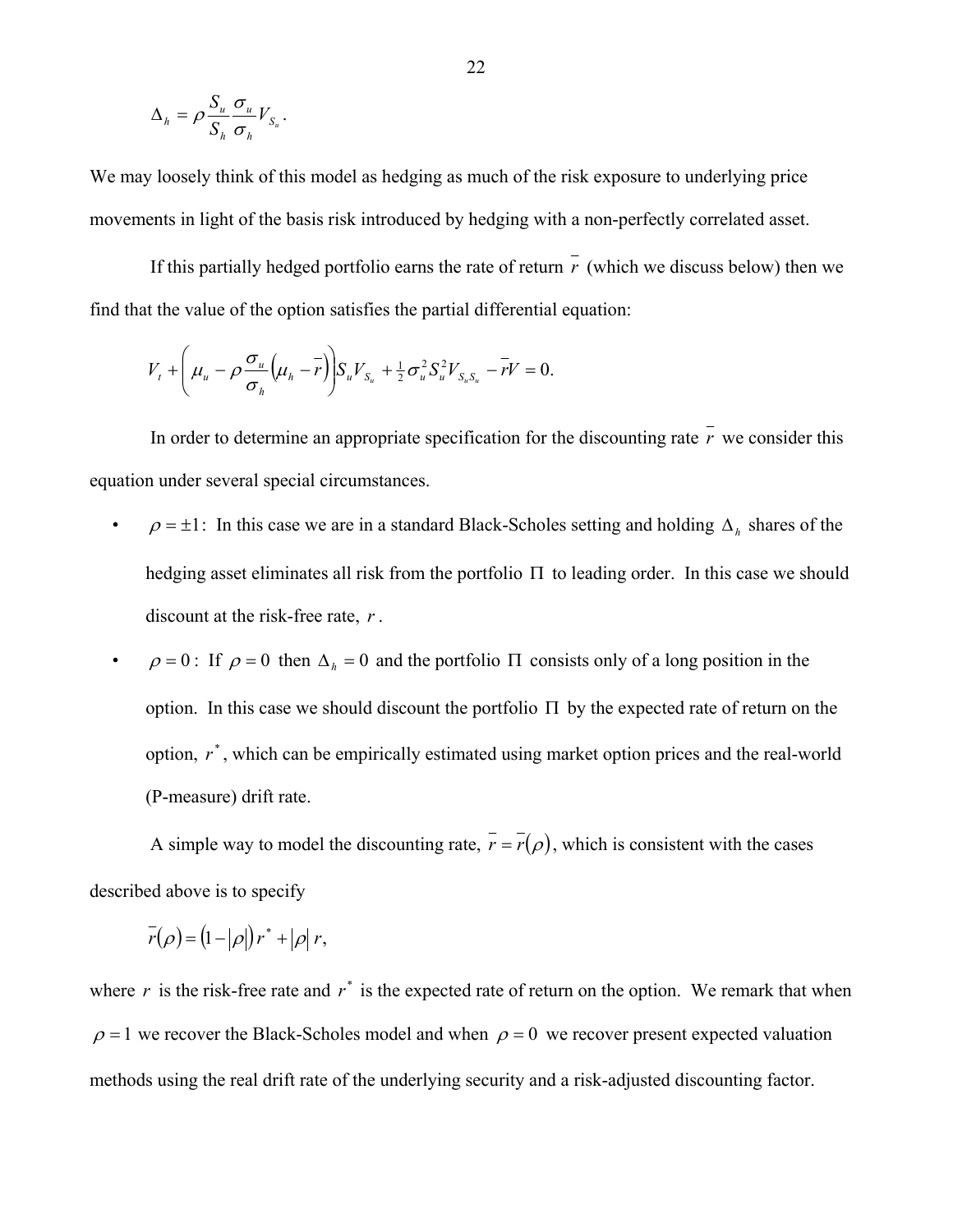$$
\Delta_h = \rho \frac{S_u}{S_h} \frac{\sigma_u}{\sigma_h} V_{S_u}.
$$

We may loosely think of this model as hedging as much of the risk exposure to underlying price movements in light of the basis risk introduced by hedging with a non-perfectly correlated asset.

If this partially hedged portfolio earns the rate of return  $\overline{r}$  (which we discuss below) then we find that the value of the option satisfies the partial differential equation:

$$
V_{t} + \left(\mu_{u} - \rho \frac{\sigma_{u}}{\sigma_{h}}\left(\mu_{h} - \overline{r}\right)\right) S_{u} V_{S_{u}} + \frac{1}{2} \sigma_{u}^{2} S_{u}^{2} V_{S_{u} S_{u}} - \overline{r} V = 0.
$$

In order to determine an appropriate specification for the discounting rate  $\overline{r}$  we consider this equation under several special circumstances.

- $\rho = \pm 1$ : In this case we are in a standard Black-Scholes setting and holding  $\Delta_h$  shares of the hedging asset eliminates all risk from the portfolio Π to leading order. In this case we should discount at the risk-free rate, *r* .
- $\rho = 0$ : If  $\rho = 0$  then  $\Delta_h = 0$  and the portfolio  $\Pi$  consists only of a long position in the option. In this case we should discount the portfolio  $\Pi$  by the expected rate of return on the option,  $r^*$ , which can be empirically estimated using market option prices and the real-world (P-measure) drift rate.

A simple way to model the discounting rate,  $\bar{r} = \bar{r}(\rho)$ , which is consistent with the cases described above is to specify

$$
\overline{r}(\rho) = (1 - |\rho|) r^* + |\rho| r,
$$

where  $r$  is the risk-free rate and  $r^*$  is the expected rate of return on the option. We remark that when  $\rho = 1$  we recover the Black-Scholes model and when  $\rho = 0$  we recover present expected valuation methods using the real drift rate of the underlying security and a risk-adjusted discounting factor.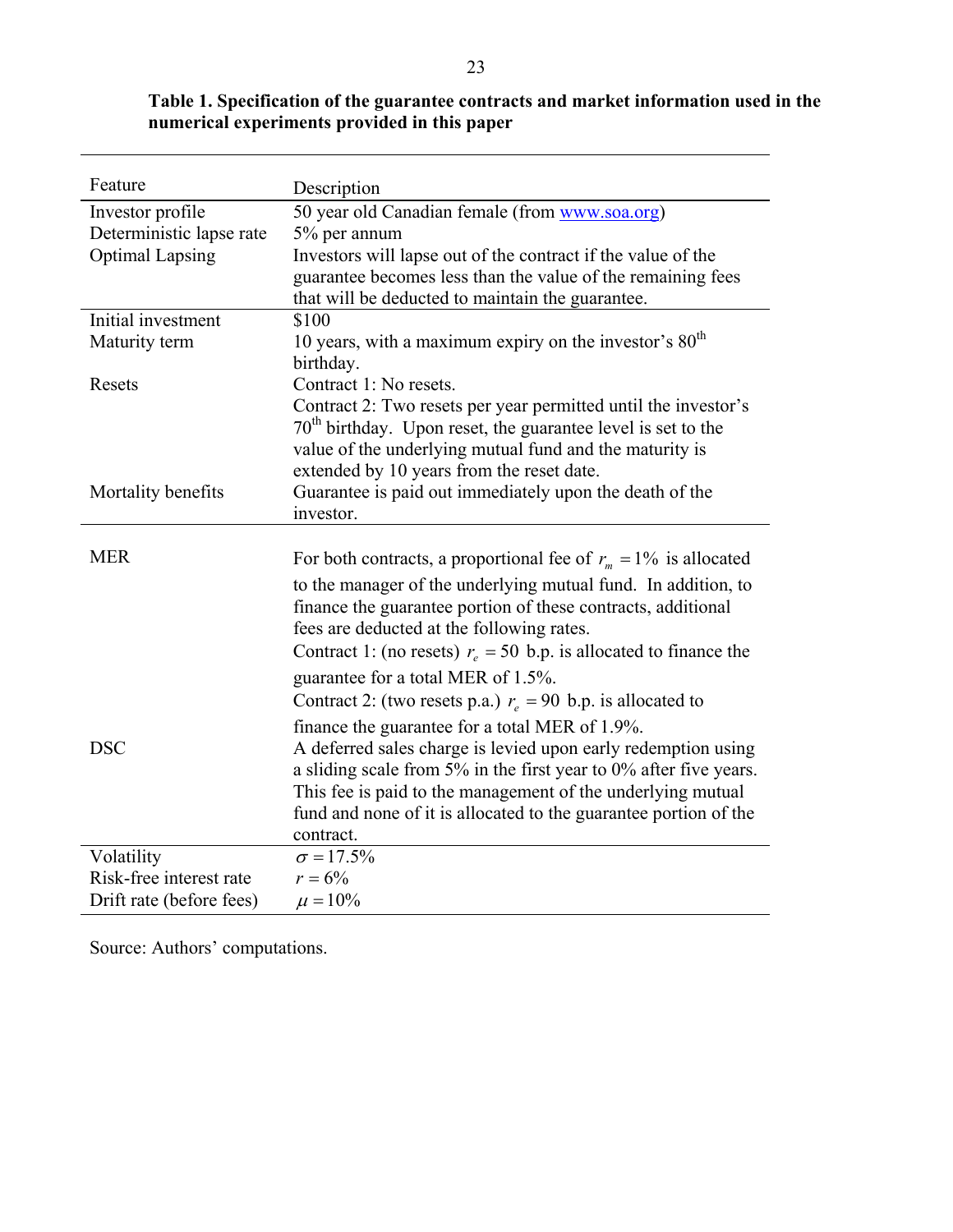| Feature                  | Description                                                             |  |  |  |
|--------------------------|-------------------------------------------------------------------------|--|--|--|
| Investor profile         | 50 year old Canadian female (from www.soa.org)                          |  |  |  |
| Deterministic lapse rate | 5% per annum                                                            |  |  |  |
| <b>Optimal Lapsing</b>   | Investors will lapse out of the contract if the value of the            |  |  |  |
|                          | guarantee becomes less than the value of the remaining fees             |  |  |  |
|                          | that will be deducted to maintain the guarantee.                        |  |  |  |
| Initial investment       | \$100                                                                   |  |  |  |
| Maturity term            | 10 years, with a maximum expiry on the investor's $80th$                |  |  |  |
|                          | birthday.                                                               |  |  |  |
| Resets                   | Contract 1: No resets.                                                  |  |  |  |
|                          | Contract 2: Two resets per year permitted until the investor's          |  |  |  |
|                          | $70th$ birthday. Upon reset, the guarantee level is set to the          |  |  |  |
|                          | value of the underlying mutual fund and the maturity is                 |  |  |  |
|                          | extended by 10 years from the reset date.                               |  |  |  |
| Mortality benefits       | Guarantee is paid out immediately upon the death of the                 |  |  |  |
|                          | investor.                                                               |  |  |  |
|                          |                                                                         |  |  |  |
| <b>MER</b>               | For both contracts, a proportional fee of $r_m = 1\%$ is allocated      |  |  |  |
|                          | to the manager of the underlying mutual fund. In addition, to           |  |  |  |
|                          | finance the guarantee portion of these contracts, additional            |  |  |  |
|                          | fees are deducted at the following rates.                               |  |  |  |
|                          | Contract 1: (no resets) $r_e = 50$ b.p. is allocated to finance the     |  |  |  |
|                          | guarantee for a total MER of 1.5%.                                      |  |  |  |
|                          | Contract 2: (two resets p.a.) $r_e = 90$ b.p. is allocated to           |  |  |  |
|                          | finance the guarantee for a total MER of 1.9%.                          |  |  |  |
| <b>DSC</b>               | A deferred sales charge is levied upon early redemption using           |  |  |  |
|                          | a sliding scale from $5\%$ in the first year to $0\%$ after five years. |  |  |  |
|                          | This fee is paid to the management of the underlying mutual             |  |  |  |
|                          | fund and none of it is allocated to the guarantee portion of the        |  |  |  |
|                          | contract.                                                               |  |  |  |
| Volatility               | $\sigma = 17.5\%$                                                       |  |  |  |
| Risk-free interest rate  | $r = 6\%$                                                               |  |  |  |
| Drift rate (before fees) | $\mu = 10\%$                                                            |  |  |  |

**Table 1. Specification of the guarantee contracts and market information used in the numerical experiments provided in this paper** 

Source: Authors' computations.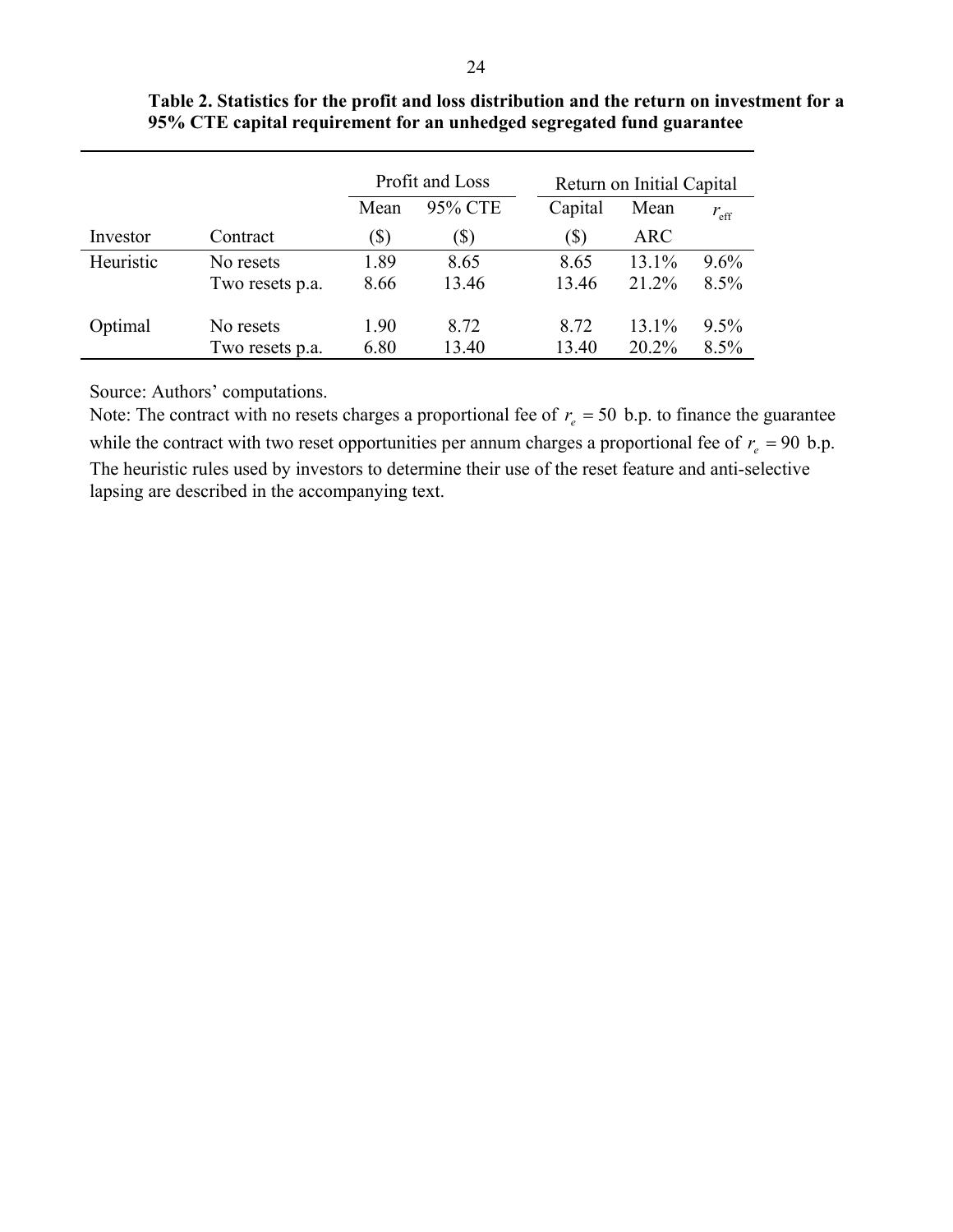|           |                 | Profit and Loss |         |         | Return on Initial Capital |               |
|-----------|-----------------|-----------------|---------|---------|---------------------------|---------------|
|           |                 | Mean            | 95% CTE | Capital | Mean                      | $r_{\rm eff}$ |
| Investor  | Contract        | (\$)            | (\$)    | $(\$)$  | <b>ARC</b>                |               |
| Heuristic | No resets       | 1.89            | 8.65    | 8.65    | 13.1%                     | $9.6\%$       |
|           | Two resets p.a. | 8.66            | 13.46   | 13.46   | 21.2%                     | 8.5%          |
| Optimal   | No resets       | 1.90            | 8.72    | 8.72    | 13.1%                     | $9.5\%$       |
|           | Two resets p.a. | 6.80            | 13.40   | 13.40   | $20.2\%$                  | 8.5%          |

**Table 2. Statistics for the profit and loss distribution and the return on investment for a 95% CTE capital requirement for an unhedged segregated fund guarantee**

Source: Authors' computations.

Note: The contract with no resets charges a proportional fee of  $r_e = 50$  b.p. to finance the guarantee while the contract with two reset opportunities per annum charges a proportional fee of  $r_e = 90$  b.p. The heuristic rules used by investors to determine their use of the reset feature and anti-selective lapsing are described in the accompanying text.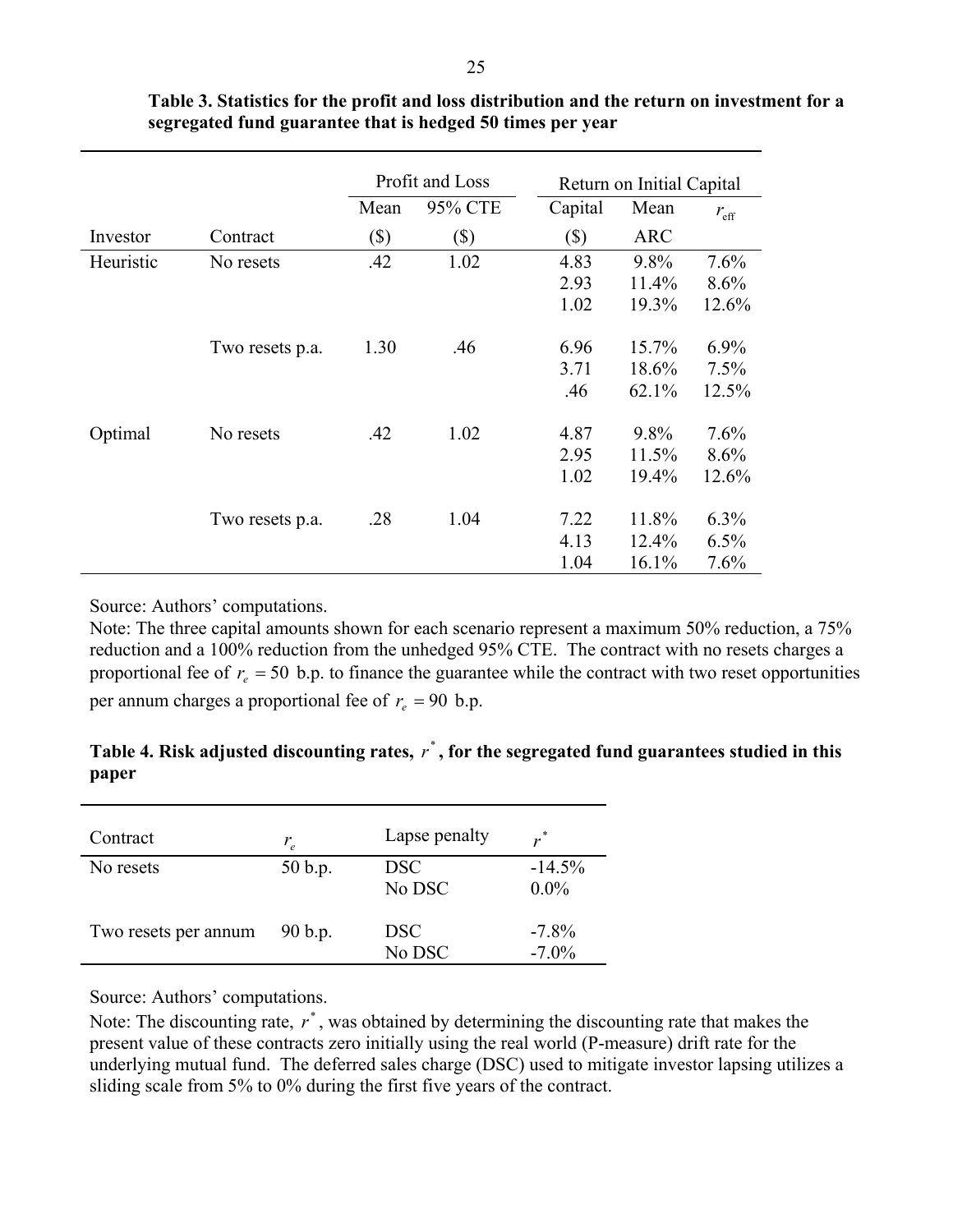|           |                 | Profit and Loss |         |         | Return on Initial Capital |               |
|-----------|-----------------|-----------------|---------|---------|---------------------------|---------------|
|           |                 | Mean            | 95% CTE | Capital | Mean                      | $r_{\rm eff}$ |
| Investor  | Contract        | $(\$)$          | $(\$)$  | $(\$)$  | <b>ARC</b>                |               |
| Heuristic | No resets       | .42             | 1.02    | 4.83    | 9.8%                      | 7.6%          |
|           |                 |                 |         | 2.93    | 11.4%                     | $8.6\%$       |
|           |                 |                 |         | 1.02    | 19.3%                     | 12.6%         |
|           | Two resets p.a. | 1.30            | .46     | 6.96    | $15.7\%$                  | $6.9\%$       |
|           |                 |                 |         | 3.71    | 18.6%                     | 7.5%          |
|           |                 |                 |         | .46     | $62.1\%$                  | 12.5%         |
| Optimal   | No resets       | .42             | 1.02    | 4.87    | 9.8%                      | 7.6%          |
|           |                 |                 |         | 2.95    | 11.5%                     | $8.6\%$       |
|           |                 |                 |         | 1.02    | 19.4%                     | 12.6%         |
|           | Two resets p.a. | .28             | 1.04    | 7.22    | 11.8%                     | $6.3\%$       |
|           |                 |                 |         | 4.13    | 12.4%                     | 6.5%          |
|           |                 |                 |         | 1.04    | $16.1\%$                  | 7.6%          |

**Table 3. Statistics for the profit and loss distribution and the return on investment for a segregated fund guarantee that is hedged 50 times per year** 

Source: Authors' computations.

Note: The three capital amounts shown for each scenario represent a maximum 50% reduction, a 75% reduction and a 100% reduction from the unhedged 95% CTE. The contract with no resets charges a proportional fee of  $r_e = 50$  b.p. to finance the guarantee while the contract with two reset opportunities per annum charges a proportional fee of  $r_e = 90$  b.p.

# Table 4. Risk adjusted discounting rates,  $r^*$ , for the segregated fund guarantees studied in this **paper**

| Contract             | $r_{e}$ | Lapse penalty        | *<br>r               |
|----------------------|---------|----------------------|----------------------|
| No resets            | 50 b.p. | <b>DSC</b><br>No DSC | $-14.5%$<br>$0.0\%$  |
| Two resets per annum | 90 b.p. | <b>DSC</b><br>No DSC | $-7.8\%$<br>$-7.0\%$ |

Source: Authors' computations.

Note: The discounting rate,  $r^*$ , was obtained by determining the discounting rate that makes the present value of these contracts zero initially using the real world (P-measure) drift rate for the underlying mutual fund. The deferred sales charge (DSC) used to mitigate investor lapsing utilizes a sliding scale from 5% to 0% during the first five years of the contract.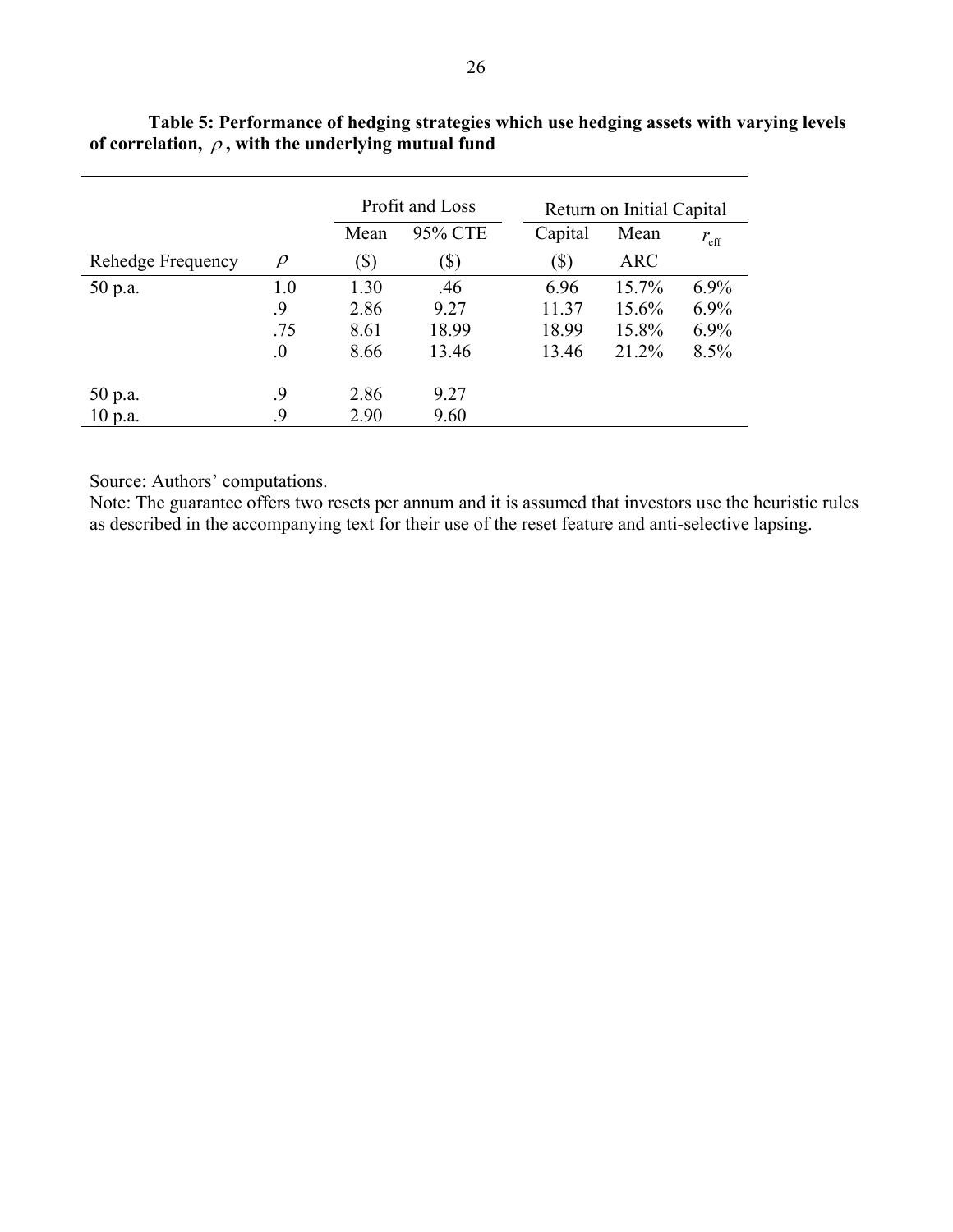|                   |         | Profit and Loss |         |         | Return on Initial Capital |               |
|-------------------|---------|-----------------|---------|---------|---------------------------|---------------|
|                   |         | Mean            | 95% CTE | Capital | Mean                      | $r_{\rm eff}$ |
| Rehedge Frequency | $\rho$  | $(\$)$          | $(\$)$  | (\$)    | <b>ARC</b>                |               |
| 50 p.a.           | 1.0     | 1.30            | .46     | 6.96    | 15.7%                     | 6.9%          |
|                   | .9      | 2.86            | 9.27    | 11.37   | 15.6%                     | $6.9\%$       |
|                   | .75     | 8.61            | 18.99   | 18.99   | 15.8%                     | 6.9%          |
|                   | $\cdot$ | 8.66            | 13.46   | 13.46   | 21.2%                     | 8.5%          |
| 50 p.a.           | .9      | 2.86            | 9.27    |         |                           |               |
| 10 p.a.           | 9       | 2.90            | 9.60    |         |                           |               |

**Table 5: Performance of hedging strategies which use hedging assets with varying levels**  of correlation,  $\rho$ , with the underlying mutual fund

Source: Authors' computations.

Note: The guarantee offers two resets per annum and it is assumed that investors use the heuristic rules as described in the accompanying text for their use of the reset feature and anti-selective lapsing.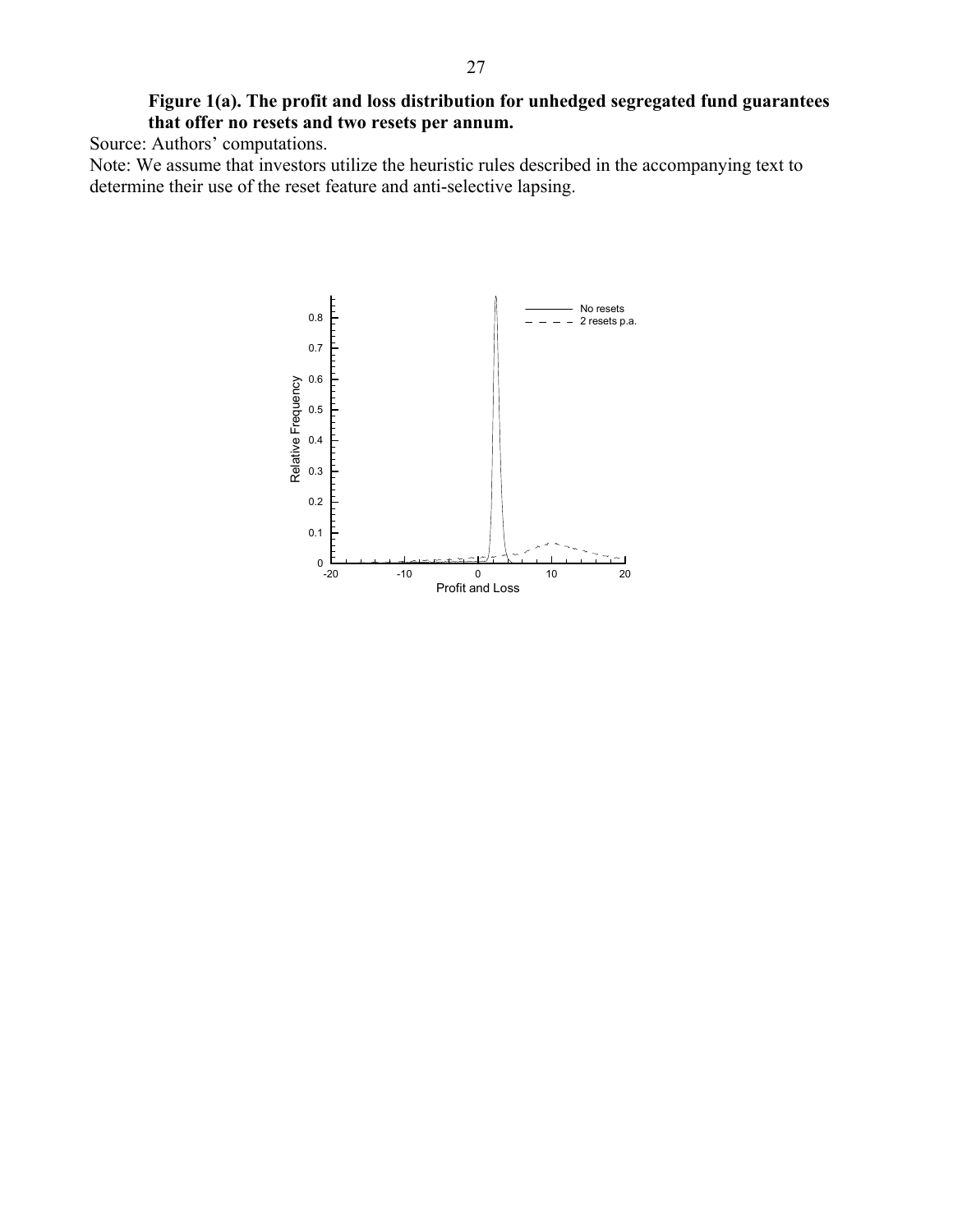# **Figure 1(a). The profit and loss distribution for unhedged segregated fund guarantees that offer no resets and two resets per annum.**

Source: Authors' computations.

Note: We assume that investors utilize the heuristic rules described in the accompanying text to determine their use of the reset feature and anti-selective lapsing.

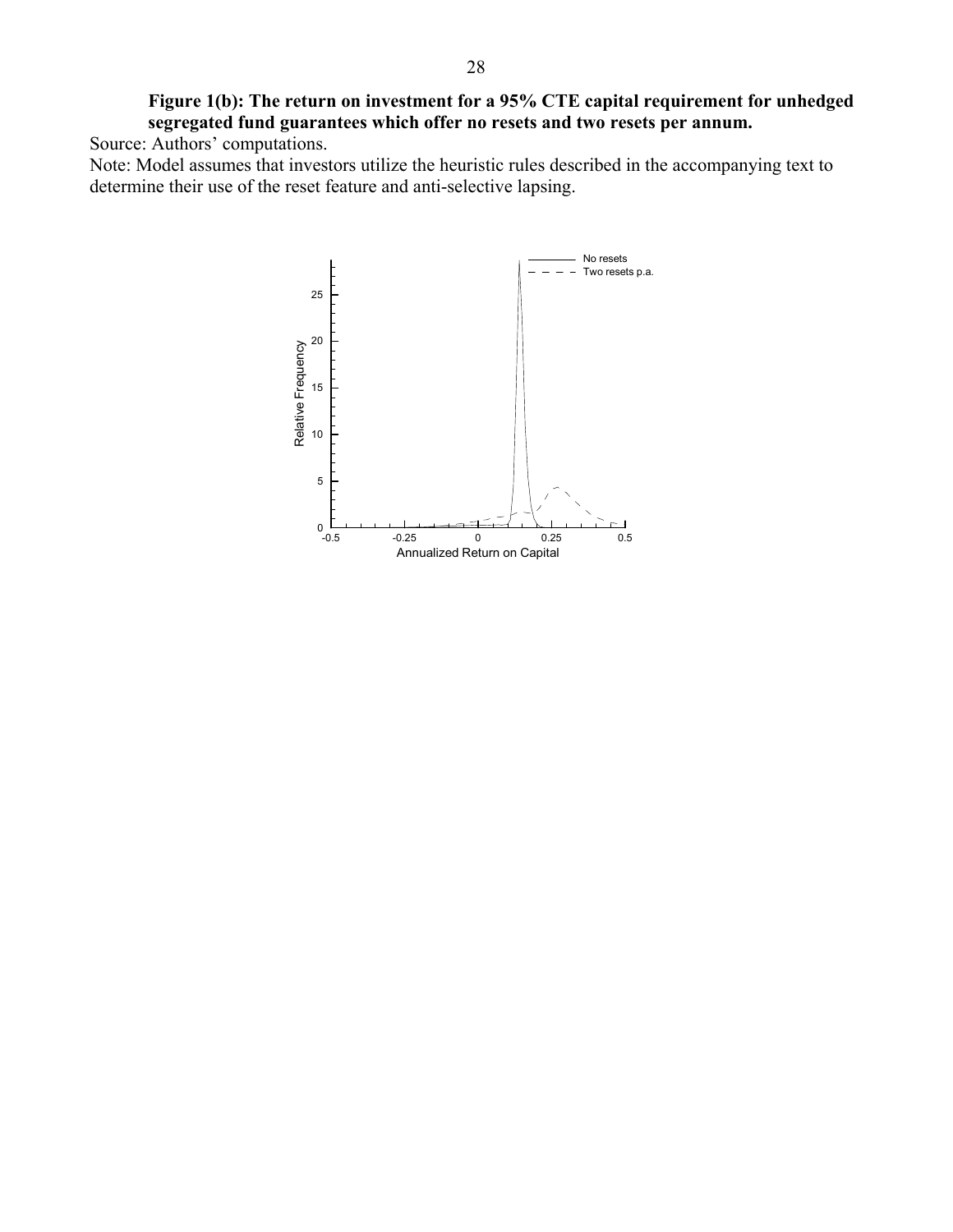# **Figure 1(b): The return on investment for a 95% CTE capital requirement for unhedged segregated fund guarantees which offer no resets and two resets per annum.**

Source: Authors' computations.

Note: Model assumes that investors utilize the heuristic rules described in the accompanying text to determine their use of the reset feature and anti-selective lapsing.

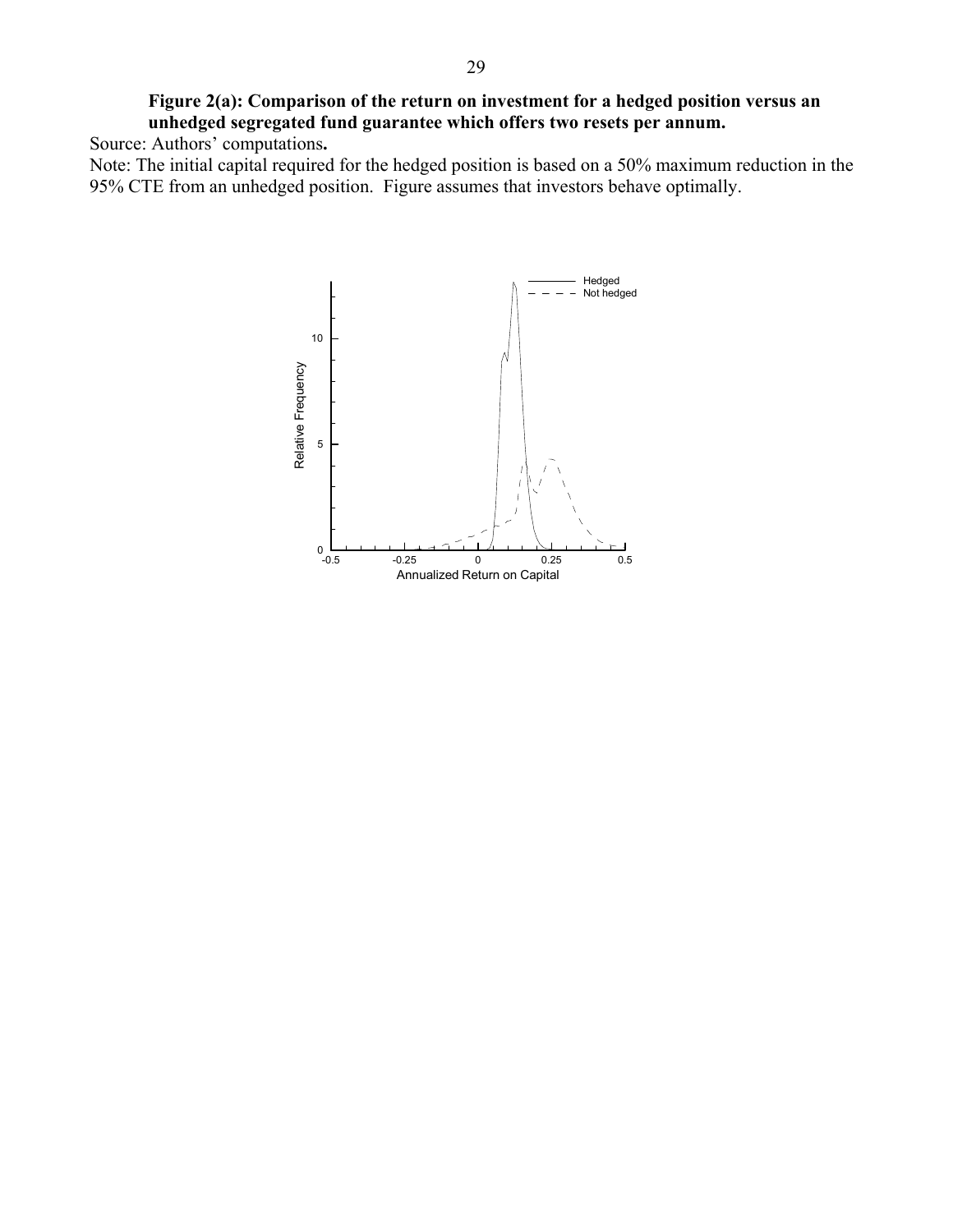# **Figure 2(a): Comparison of the return on investment for a hedged position versus an unhedged segregated fund guarantee which offers two resets per annum.**

Source: Authors' computations**.** 

Note: The initial capital required for the hedged position is based on a 50% maximum reduction in the 95% CTE from an unhedged position. Figure assumes that investors behave optimally.

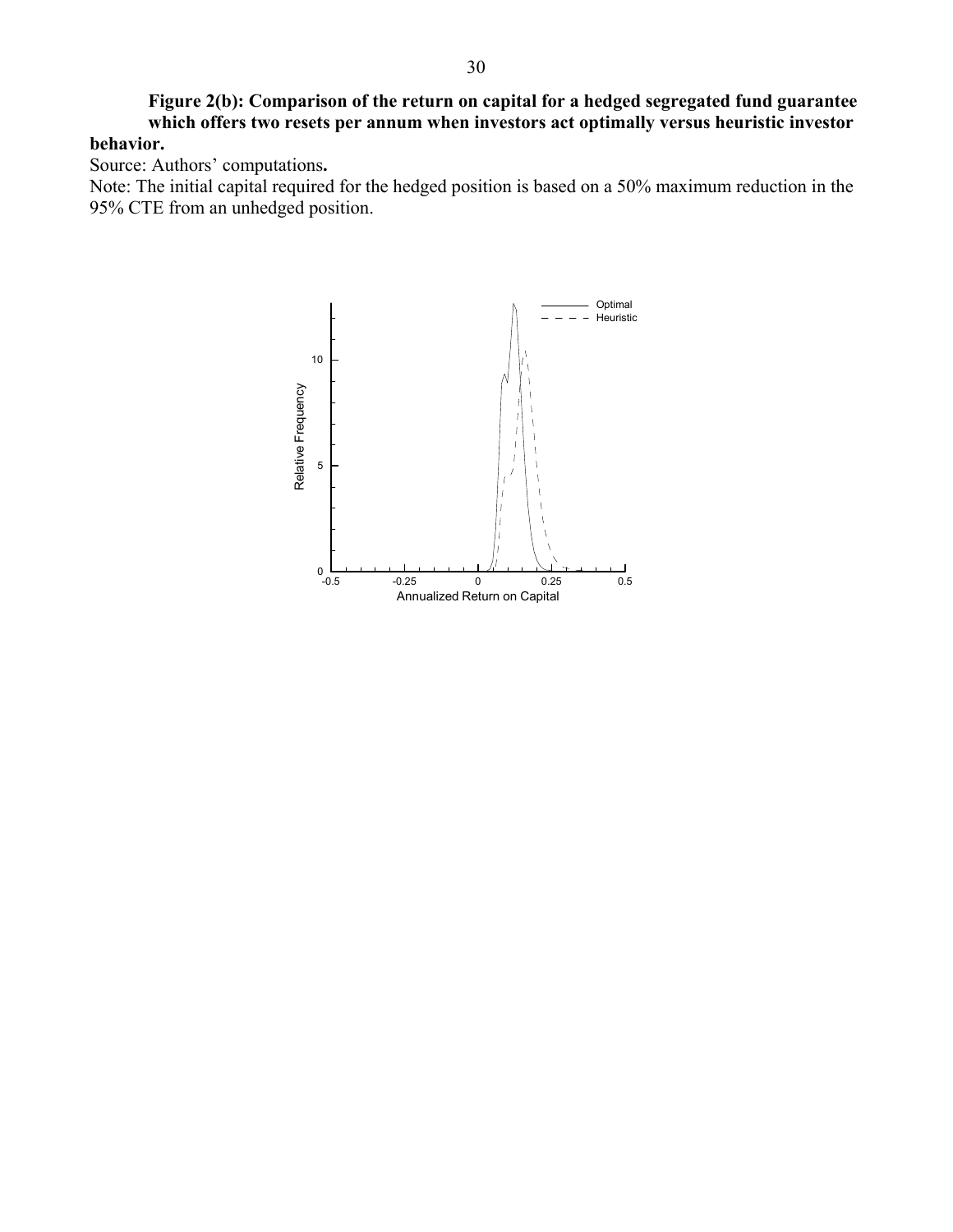**Figure 2(b): Comparison of the return on capital for a hedged segregated fund guarantee which offers two resets per annum when investors act optimally versus heuristic investor behavior.** 

Source: Authors' computations**.** 

Note: The initial capital required for the hedged position is based on a 50% maximum reduction in the 95% CTE from an unhedged position.

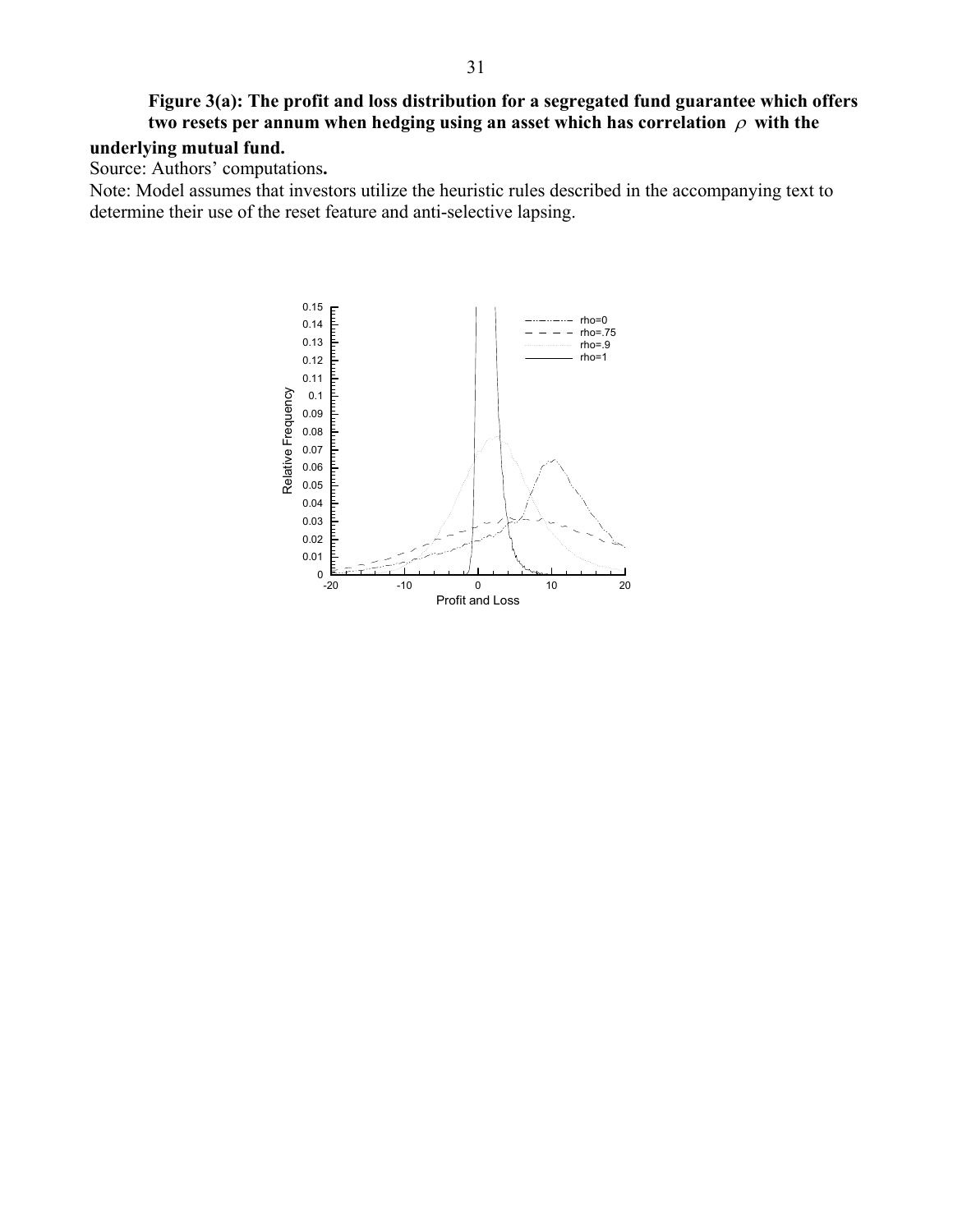# **Figure 3(a): The profit and loss distribution for a segregated fund guarantee which offers two resets per annum when hedging using an asset which has correlation**  $\rho$  **with the**

# **underlying mutual fund.**

Source: Authors' computations**.** 

Note: Model assumes that investors utilize the heuristic rules described in the accompanying text to determine their use of the reset feature and anti-selective lapsing.

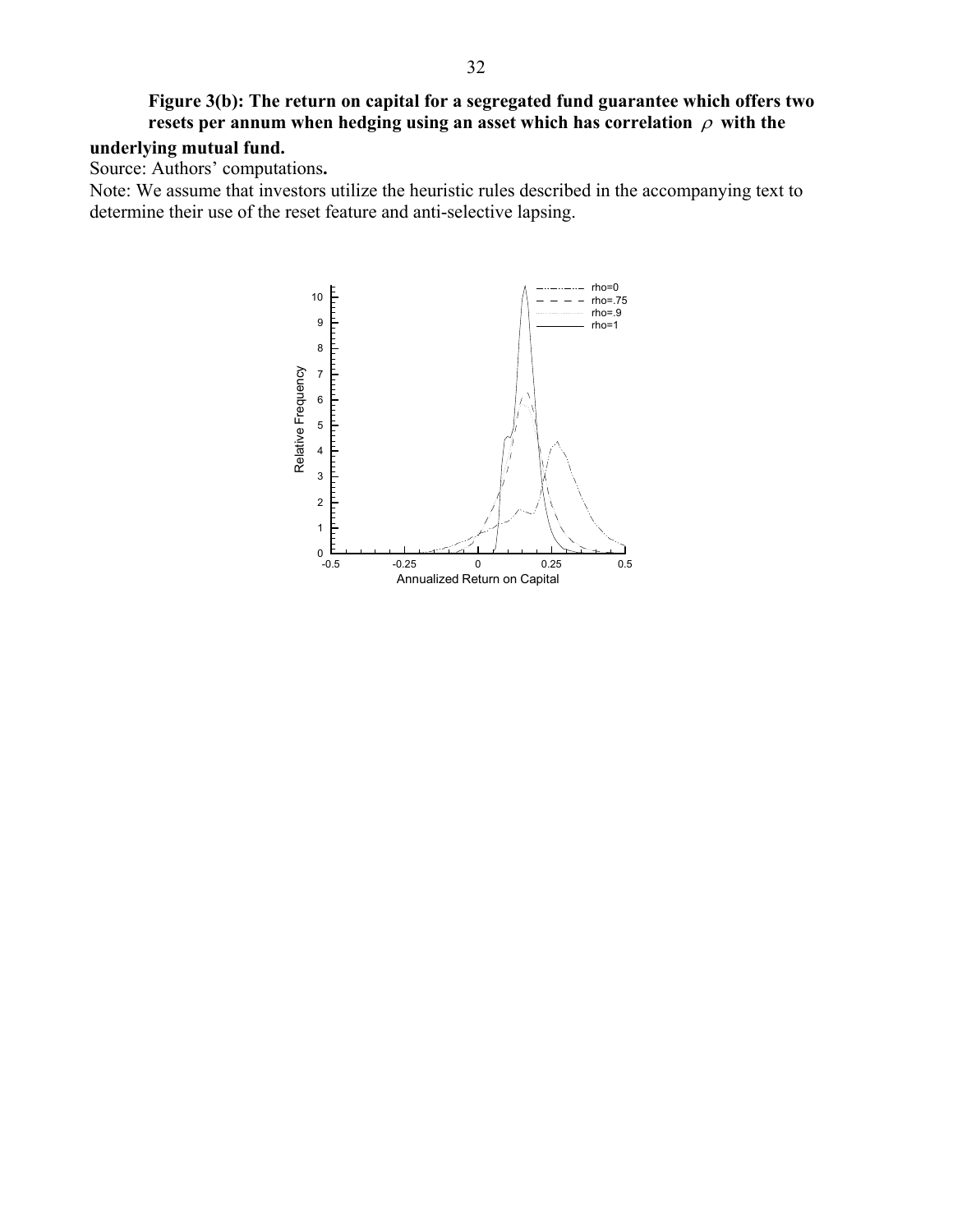# **Figure 3(b): The return on capital for a segregated fund guarantee which offers two resets per annum when hedging using an asset which has correlation**  $\rho$  **with the**

# **underlying mutual fund.**

Source: Authors' computations**.** 

Note: We assume that investors utilize the heuristic rules described in the accompanying text to determine their use of the reset feature and anti-selective lapsing.

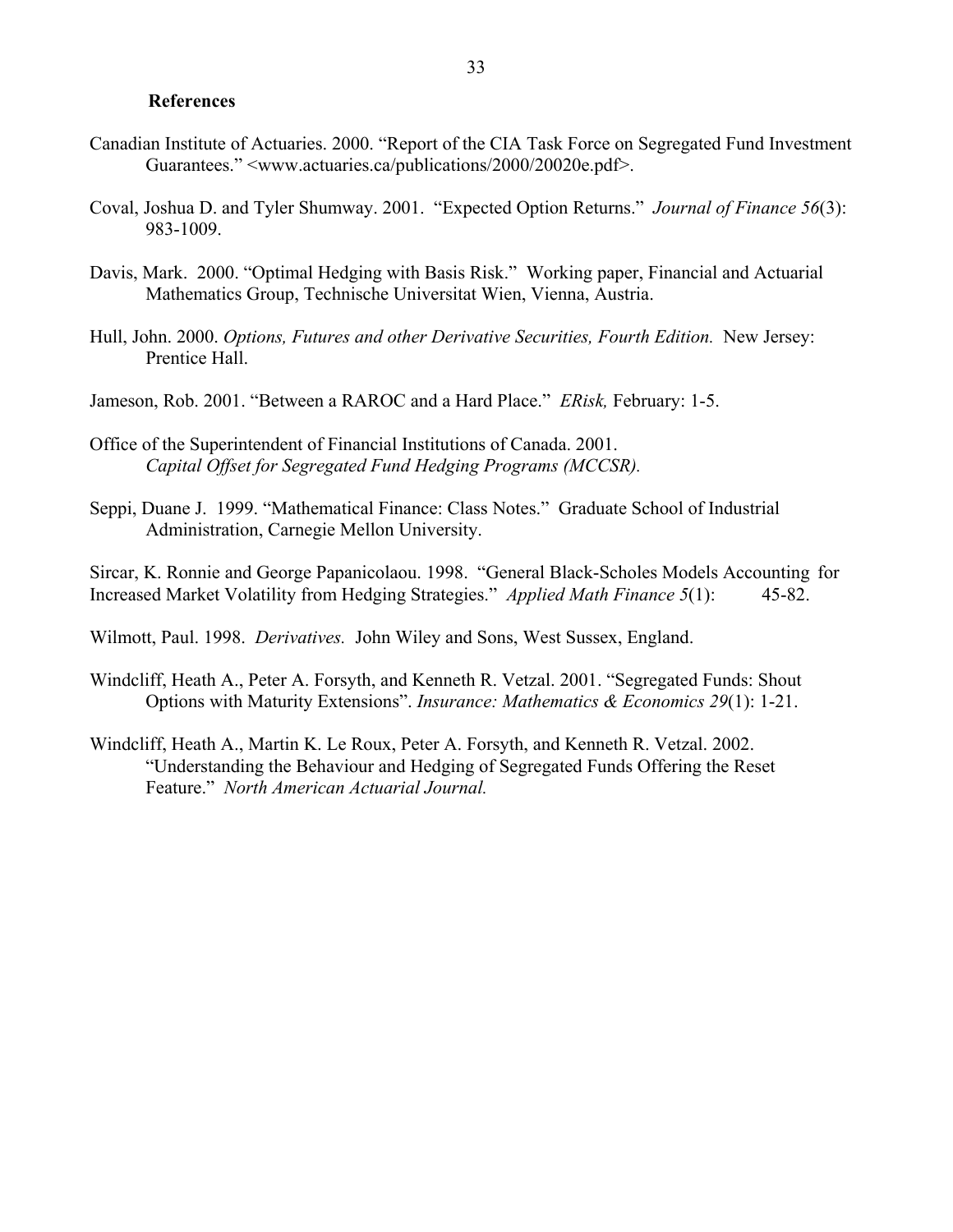#### **References**

- Canadian Institute of Actuaries. 2000. "Report of the CIA Task Force on Segregated Fund Investment Guarantees." <www.actuaries.ca/publications/2000/20020e.pdf>.
- Coval, Joshua D. and Tyler Shumway. 2001. "Expected Option Returns." *Journal of Finance 56*(3): 983-1009.
- Davis, Mark. 2000. "Optimal Hedging with Basis Risk." Working paper, Financial and Actuarial Mathematics Group, Technische Universitat Wien, Vienna, Austria.
- Hull, John. 2000. *Options, Futures and other Derivative Securities, Fourth Edition.* New Jersey: Prentice Hall.
- Jameson, Rob. 2001. "Between a RAROC and a Hard Place." *ERisk,* February: 1-5.
- Office of the Superintendent of Financial Institutions of Canada. 2001. *Capital Offset for Segregated Fund Hedging Programs (MCCSR).*
- Seppi, Duane J. 1999. "Mathematical Finance: Class Notes." Graduate School of Industrial Administration, Carnegie Mellon University.

Sircar, K. Ronnie and George Papanicolaou. 1998. "General Black-Scholes Models Accounting for Increased Market Volatility from Hedging Strategies." *Applied Math Finance 5*(1): 45-82.

Wilmott, Paul. 1998. *Derivatives.* John Wiley and Sons, West Sussex, England.

- Windcliff, Heath A., Peter A. Forsyth, and Kenneth R. Vetzal. 2001. "Segregated Funds: Shout Options with Maturity Extensions". *Insurance: Mathematics & Economics 29*(1): 1-21.
- Windcliff, Heath A., Martin K. Le Roux, Peter A. Forsyth, and Kenneth R. Vetzal. 2002. "Understanding the Behaviour and Hedging of Segregated Funds Offering the Reset Feature." *North American Actuarial Journal.*